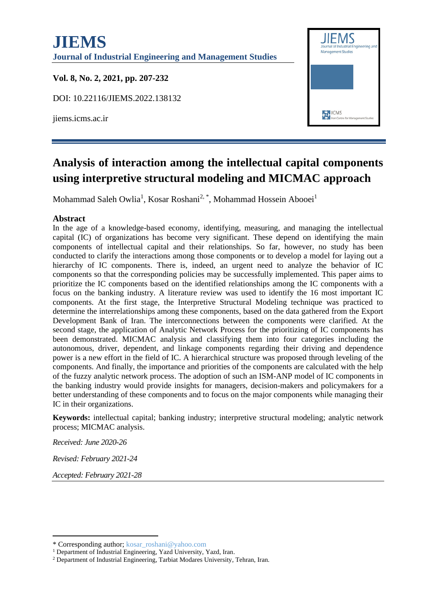

# **[Analysis of interaction among the intellectual capital components](https://www.emerald.com/insight/content/doi/10.1108/14635771111147641/full/html)  [using interpretive structural modeling and MICMAC approach](https://www.emerald.com/insight/content/doi/10.1108/14635771111147641/full/html)**

Mohammad Saleh Owlia<sup>1</sup>, Kosar Roshani<sup>2, \*</sup>, Mohammad Hossein Abooei<sup>1</sup>

#### **Abstract**

In the age of a knowledge-based economy, identifying, measuring, and managing the intellectual capital (IC) of organizations has become very significant. These depend on identifying the main components of intellectual capital and their relationships. So far, however, no study has been conducted to clarify the interactions among those components or to develop a model for laying out a hierarchy of IC components. There is, indeed, an urgent need to analyze the behavior of IC components so that the corresponding policies may be successfully implemented. This paper aims to prioritize the IC components based on the identified relationships among the IC components with a focus on the banking industry. A literature review was used to identify the 16 most important IC components. At the first stage, the Interpretive Structural Modeling technique was practiced to determine the interrelationships among these components, based on the data gathered from the Export Development Bank of Iran. The interconnections between the components were clarified. At the second stage, the application of Analytic Network Process for the prioritizing of IC components has been demonstrated. MICMAC analysis and classifying them into four categories including the autonomous, driver, dependent, and linkage components regarding their driving and dependence power is a new effort in the field of IC. A hierarchical structure was proposed through leveling of the components. And finally, the importance and priorities of the components are calculated with the help of the fuzzy analytic network process. The adoption of such an ISM-ANP model of IC components in the banking industry would provide insights for managers, decision-makers and policymakers for a better understanding of these components and to focus on the major components while managing their IC in their organizations.

**Keywords:** intellectual capital; banking industry; interpretive structural modeling; analytic network process; MICMAC analysis.

*Received: June 2020-26*

*Revised: February 2021-24*

*Accepted: February 2021-28*

<sup>\*</sup> Corresponding author; kosar\_roshani@yahoo.com

<sup>&</sup>lt;sup>1</sup> Department of Industrial Engineering, Yazd University, Yazd, Iran.

<sup>2</sup> Department of Industrial Engineering, Tarbiat Modares University, Tehran, Iran.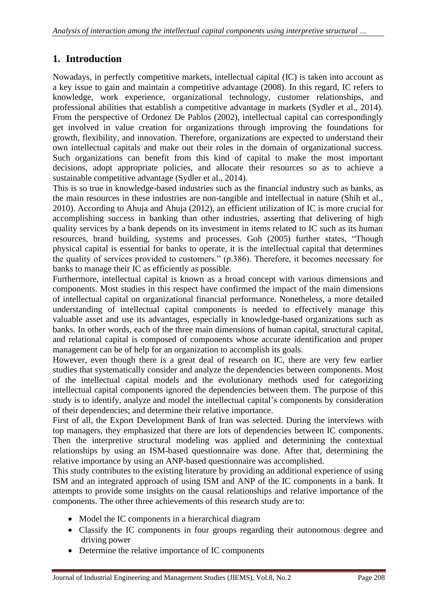## **1. Introduction**

Nowadays, in perfectly competitive markets, intellectual capital (IC) is taken into account as a key issue to gain and maintain a competitive advantage (2008). In this regard, IC refers to knowledge, work experience, organizational technology, customer relationships, and professional abilities that establish a competitive advantage in markets (Sydler et al., 2014). From the perspective of Ordonez De Pablos (2002), intellectual capital can correspondingly get involved in value creation for organizations through improving the foundations for growth, flexibility, and innovation. Therefore, organizations are expected to understand their own intellectual capitals and make out their roles in the domain of organizational success. Such organizations can benefit from this kind of capital to make the most important decisions, adopt appropriate policies, and allocate their resources so as to achieve a sustainable competitive advantage (Sydler et al., 2014).

This is so true in knowledge-based industries such as the financial industry such as banks, as the main resources in these industries are non-tangible and intellectual in nature (Shih et al., 2010). According to Ahuja and Ahuja (2012), an efficient utilization of IC is more crucial for accomplishing success in banking than other industries, asserting that delivering of high quality services by a bank depends on its investment in items related to IC such as its human resources, brand building, systems and processes. Goh (2005) further states, "Though physical capital is essential for banks to operate, it is the intellectual capital that determines the quality of services provided to customers." (p.386). Therefore, it becomes necessary for banks to manage their IC as efficiently as possible.

Furthermore, intellectual capital is known as a broad concept with various dimensions and components. Most studies in this respect have confirmed the impact of the main dimensions of intellectual capital on organizational financial performance. Nonetheless, a more detailed understanding of intellectual capital components is needed to effectively manage this valuable asset and use its advantages, especially in knowledge-based organizations such as banks. In other words, each of the three main dimensions of human capital, structural capital, and relational capital is composed of components whose accurate identification and proper management can be of help for an organization to accomplish its goals.

However, even though there is a great deal of research on IC, there are very few earlier studies that systematically consider and analyze the dependencies between components. Most of the intellectual capital models and the evolutionary methods used for categorizing intellectual capital components ignored the dependencies between them. The purpose of this study is to identify, analyze and model the intellectual capital's components by consideration of their dependencies; and determine their relative importance.

First of all, the Export Development Bank of Iran was selected. During the interviews with top managers, they emphasized that there are lots of dependencies between IC components. Then the interpretive structural modeling was applied and determining the contextual relationships by using an ISM-based questionnaire was done. After that, determining the relative importance by using an ANP-based questionnaire was accomplished.

This study contributes to the existing literature by providing an additional experience of using ISM and an integrated approach of using ISM and ANP of the IC components in a bank. It attempts to provide some insights on the causal relationships and relative importance of the components. The other three achievements of this research study are to:

- Model the IC components in a hierarchical diagram
- Classify the IC components in four groups regarding their autonomous degree and driving power
- Determine the relative importance of IC components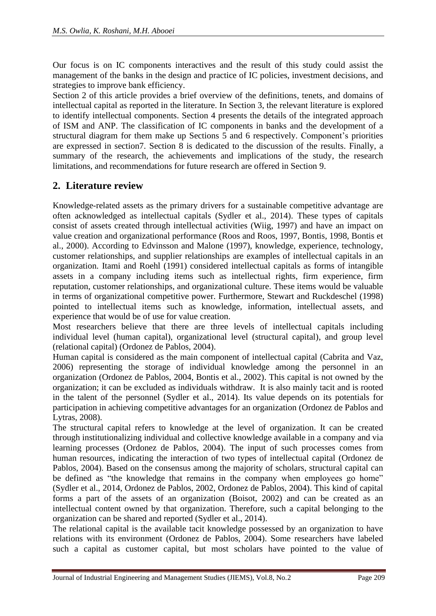Our focus is on IC components interactives and the result of this study could assist the management of the banks in the design and practice of IC policies, investment decisions, and strategies to improve bank efficiency.

Section 2 of this article provides a brief overview of the definitions, tenets, and domains of intellectual capital as reported in the literature. In Section 3, the relevant literature is explored to identify intellectual components. Section 4 presents the details of the integrated approach of ISM and ANP. The classification of IC components in banks and the development of a structural diagram for them make up Sections 5 and 6 respectively. Component's priorities are expressed in section7. Section 8 is dedicated to the discussion of the results. Finally, a summary of the research, the achievements and implications of the study, the research limitations, and recommendations for future research are offered in Section 9.

## **2. Literature review**

Knowledge-related assets as the primary drivers for a sustainable competitive advantage are often acknowledged as intellectual capitals (Sydler et al., 2014). These types of capitals consist of assets created through intellectual activities (Wiig, 1997) and have an impact on value creation and organizational performance (Roos and Roos, 1997, Bontis, 1998, Bontis et al., 2000). According to Edvinsson and Malone (1997), knowledge, experience, technology, customer relationships, and supplier relationships are examples of intellectual capitals in an organization. Itami and Roehl (1991) considered intellectual capitals as forms of intangible assets in a company including items such as intellectual rights, firm experience, firm reputation, customer relationships, and organizational culture. These items would be valuable in terms of organizational competitive power. Furthermore, Stewart and Ruckdeschel (1998) pointed to intellectual items such as knowledge, information, intellectual assets, and experience that would be of use for value creation.

Most researchers believe that there are three levels of intellectual capitals including individual level (human capital), organizational level (structural capital), and group level (relational capital) (Ordonez de Pablos, 2004).

Human capital is considered as the main component of intellectual capital (Cabrita and Vaz, 2006) representing the storage of individual knowledge among the personnel in an organization (Ordonez de Pablos, 2004, Bontis et al., 2002). This capital is not owned by the organization; it can be excluded as individuals withdraw. It is also mainly tacit and is rooted in the talent of the personnel (Sydler et al., 2014). Its value depends on its potentials for participation in achieving competitive advantages for an organization (Ordonez de Pablos and Lytras, 2008).

The structural capital refers to knowledge at the level of organization. It can be created through institutionalizing individual and collective knowledge available in a company and via learning processes (Ordonez de Pablos, 2004). The input of such processes comes from human resources, indicating the interaction of two types of intellectual capital (Ordonez de Pablos, 2004). Based on the consensus among the majority of scholars, structural capital can be defined as "the knowledge that remains in the company when employees go home" (Sydler et al., 2014, Ordonez de Pablos, 2002, Ordonez de Pablos, 2004). This kind of capital forms a part of the assets of an organization (Boisot, 2002) and can be created as an intellectual content owned by that organization. Therefore, such a capital belonging to the organization can be shared and reported (Sydler et al., 2014).

The relational capital is the available tacit knowledge possessed by an organization to have relations with its environment (Ordonez de Pablos, 2004). Some researchers have labeled such a capital as customer capital, but most scholars have pointed to the value of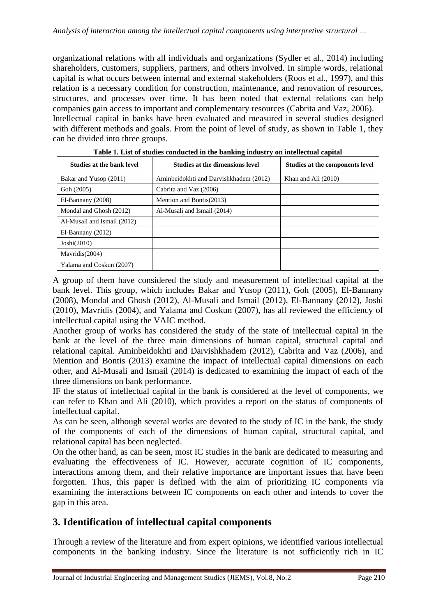organizational relations with all individuals and organizations (Sydler et al., 2014) including shareholders, customers, suppliers, partners, and others involved. In simple words, relational capital is what occurs between internal and external stakeholders (Roos et al., 1997), and this relation is a necessary condition for construction, maintenance, and renovation of resources, structures, and processes over time. It has been noted that external relations can help companies gain access to important and complementary resources (Cabrita and Vaz, 2006). Intellectual capital in banks have been evaluated and measured in several studies designed with different methods and goals. From the point of level of study, as shown in Table 1, they can be divided into three groups.

| Studies at the bank level   | <b>Studies at the dimensions level</b> | <b>Studies at the components level</b> |
|-----------------------------|----------------------------------------|----------------------------------------|
| Bakar and Yusop (2011)      | Aminbeidokhti and Darvishkhadem (2012) | Khan and Ali (2010)                    |
| Goh (2005)                  | Cabrita and Vaz (2006)                 |                                        |
| El-Bannany (2008)           | Mention and Bontis(2013)               |                                        |
| Mondal and Ghosh (2012)     | Al-Musali and Ismail (2014)            |                                        |
| Al-Musali and Ismail (2012) |                                        |                                        |
| $El-Bannany (2012)$         |                                        |                                        |
| Josh(2010)                  |                                        |                                        |
| Mavridis(2004)              |                                        |                                        |
| Yalama and Coskun (2007)    |                                        |                                        |

**Table 1. List of studies conducted in the banking industry on intellectual capital**

A group of them have considered the study and measurement of intellectual capital at the bank level. This group, which includes Bakar and Yusop (2011), Goh (2005), El-Bannany (2008), Mondal and Ghosh (2012), Al-Musali and Ismail (2012), El-Bannany (2012), Joshi (2010), Mavridis (2004), and Yalama and Coskun (2007), has all reviewed the efficiency of intellectual capital using the VAIC method.

Another group of works has considered the study of the state of intellectual capital in the bank at the level of the three main dimensions of human capital, structural capital and relational capital. Aminbeidokhti and Darvishkhadem (2012), Cabrita and Vaz (2006), and Mention and Bontis (2013) examine the impact of intellectual capital dimensions on each other, and Al-Musali and Ismail (2014) is dedicated to examining the impact of each of the three dimensions on bank performance.

IF the status of intellectual capital in the bank is considered at the level of components, we can refer to Khan and Ali (2010), which provides a report on the status of components of intellectual capital.

As can be seen, although several works are devoted to the study of IC in the bank, the study of the components of each of the dimensions of human capital, structural capital, and relational capital has been neglected.

On the other hand, as can be seen, most IC studies in the bank are dedicated to measuring and evaluating the effectiveness of IC. However, accurate cognition of IC components, interactions among them, and their relative importance are important issues that have been forgotten. Thus, this paper is defined with the aim of prioritizing IC components via examining the interactions between IC components on each other and intends to cover the gap in this area.

### **3. Identification of intellectual capital components**

Through a review of the literature and from expert opinions, we identified various intellectual components in the banking industry. Since the literature is not sufficiently rich in IC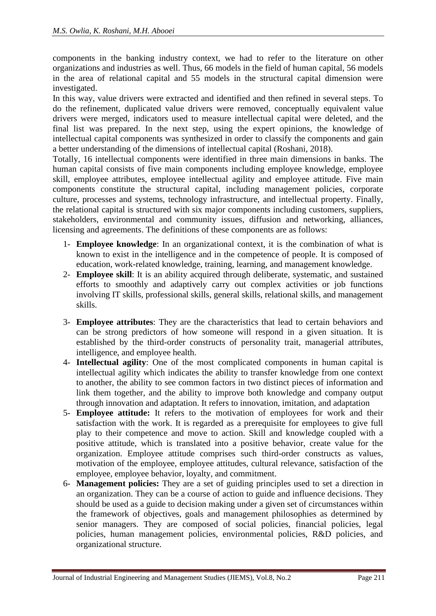components in the banking industry context, we had to refer to the literature on other organizations and industries as well. Thus, 66 models in the field of human capital, 56 models in the area of relational capital and 55 models in the structural capital dimension were investigated.

In this way, value drivers were extracted and identified and then refined in several steps. To do the refinement, duplicated value drivers were removed, conceptually equivalent value drivers were merged, indicators used to measure intellectual capital were deleted, and the final list was prepared. In the next step, using the expert opinions, the knowledge of intellectual capital components was synthesized in order to classify the components and gain a better understanding of the dimensions of intellectual capital (Roshani, 2018).

Totally, 16 intellectual components were identified in three main dimensions in banks. The human capital consists of five main components including employee knowledge, employee skill, employee attributes, employee intellectual agility and employee attitude. Five main components constitute the structural capital, including management policies, corporate culture, processes and systems, technology infrastructure, and intellectual property. Finally, the relational capital is structured with six major components including customers, suppliers, stakeholders, environmental and community issues, diffusion and networking, alliances, licensing and agreements. The definitions of these components are as follows:

- 1- **Employee knowledge**: In an organizational context, it is the combination of what is known to exist in the intelligence and in the competence of people. It is composed of education, work-related knowledge, training, learning, and management knowledge.
- 2- **Employee skill**: It is an ability acquired through deliberate, systematic, and sustained efforts to smoothly and adaptively carry out complex activities or job functions involving IT skills, professional skills, general skills, relational skills, and management skills.
- 3- **Employee attributes**: They are the characteristics that lead to certain behaviors and can be strong predictors of how someone will respond in a given situation. It is established by the third-order constructs of personality trait, managerial attributes, intelligence, and employee health.
- 4- **Intellectual agility**: One of the most complicated components in human capital is intellectual agility which indicates the ability to transfer knowledge from one context to another, the ability to see common factors in two distinct pieces of information and link them together, and the ability to improve both knowledge and company output through innovation and adaptation. It refers to innovation, imitation, and adaptation
- 5- **Employee attitude:** It refers to the motivation of employees for work and their satisfaction with the work. It is regarded as a prerequisite for employees to give full play to their competence and move to action. Skill and knowledge coupled with a positive attitude, which is translated into a positive behavior, create value for the organization. Employee attitude comprises such third-order constructs as values, motivation of the employee, employee attitudes, cultural relevance, satisfaction of the employee, employee behavior, loyalty, and commitment.
- 6- **Management policies:** They are a set of guiding principles used to set a direction in an organization. They can be a course of action to guide and influence decisions. They should be used as a guide to decision making under a given set of circumstances within the framework of objectives, goals and management philosophies as determined by senior managers. They are composed of social policies, financial policies, legal policies, human management policies, environmental policies, R&D policies, and organizational structure.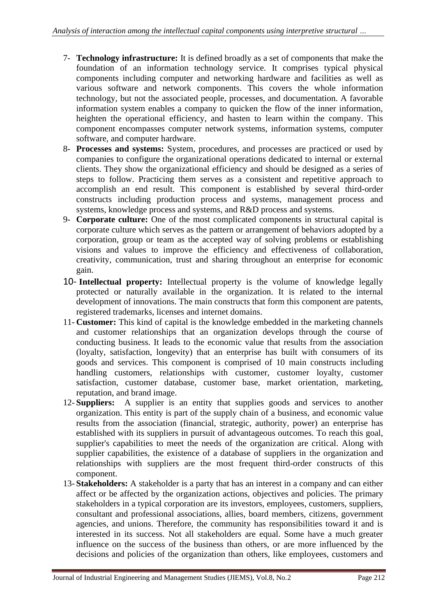- 7- **Technology infrastructure:** It is defined broadly as a set of components that make the foundation of an information technology service. It comprises typical physical components including computer and networking hardware and facilities as well as various software and network components. This covers the whole information technology, but not the associated people, processes, and documentation. A favorable information system enables a company to quicken the flow of the inner information, heighten the operational efficiency, and hasten to learn within the company. This component encompasses computer network systems, information systems, computer software, and computer hardware.
- 8- **Processes and systems:** System, procedures, and processes are practiced or used by companies to configure the organizational operations dedicated to internal or external clients. They show the organizational efficiency and should be designed as a series of steps to follow. Practicing them serves as a consistent and repetitive approach to accomplish an end result. This component is established by several third-order constructs including production process and systems, management process and systems, knowledge process and systems, and R&D process and systems.
- 9- **Corporate culture:** One of the most complicated components in structural capital is corporate culture which serves as the pattern or arrangement of behaviors adopted by a corporation, group or team as the accepted way of solving problems or establishing visions and values to improve the efficiency and effectiveness of collaboration, creativity, communication, trust and sharing throughout an enterprise for economic gain.
- 10- **Intellectual property:** Intellectual property is the volume of knowledge legally protected or naturally available in the organization. It is related to the internal development of innovations. The main constructs that form this component are patents, registered trademarks, licenses and internet domains.
- 11- **Customer:** This kind of capital is the knowledge embedded in the marketing channels and customer relationships that an organization develops through the course of conducting business. It leads to the economic value that results from the association (loyalty, satisfaction, longevity) that an enterprise has built with consumers of its goods and services. This component is comprised of 10 main constructs including handling customers, relationships with customer, customer loyalty, customer satisfaction, customer database, customer base, market orientation, marketing, reputation, and brand image.
- 12- **Suppliers:** A supplier is an entity that supplies goods and services to another organization. This entity is part of the supply chain of a business, and economic value results from the association (financial, strategic, authority, power) an enterprise has established with its suppliers in pursuit of advantageous outcomes. To reach this goal, supplier's capabilities to meet the needs of the organization are critical. Along with supplier capabilities, the existence of a database of suppliers in the organization and relationships with suppliers are the most frequent third-order constructs of this component.
- 13- **Stakeholders:** A stakeholder is a party that has an interest in a company and can either affect or be affected by the organization actions, objectives and policies. The primary stakeholders in a typical corporation are its investors, employees, customers, suppliers, consultant and professional associations, allies, board members, citizens, government agencies, and unions. Therefore, the community has responsibilities toward it and is interested in its success. Not all stakeholders are equal. Some have a much greater influence on the success of the business than others, or are more influenced by the decisions and policies of the organization than others, like employees, customers and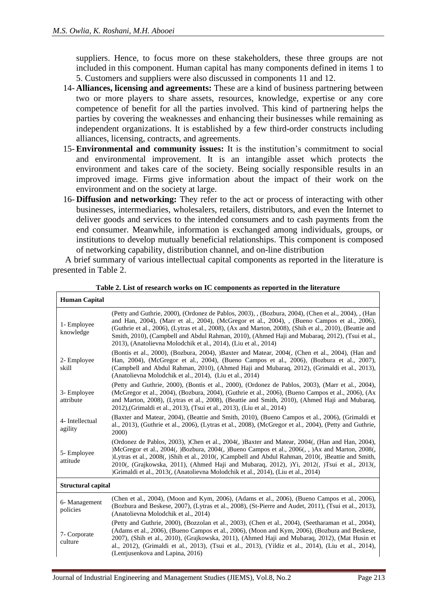suppliers. Hence, to focus more on these stakeholders, these three groups are not included in this component. Human capital has many components defined in items 1 to 5. Customers and suppliers were also discussed in components 11 and 12.

- 14- **Alliances, licensing and agreements:** These are a kind of business partnering between two or more players to share assets, resources, knowledge, expertise or any core competence of benefit for all the parties involved. This kind of partnering helps the parties by covering the weaknesses and enhancing their businesses while remaining as independent organizations. It is established by a few third-order constructs including alliances, licensing, contracts, and agreements.
- 15-**Environmental and community issues:** It is the institution's commitment to social and environmental improvement. It is an intangible asset which protects the environment and takes care of the society. Being socially responsible results in an improved image. Firms give information about the impact of their work on the environment and on the society at large.
- 16- **Diffusion and networking:** They refer to the act or process of interacting with other businesses, intermediaries, wholesalers, retailers, distributors, and even the Internet to deliver goods and services to the intended consumers and to cash payments from the end consumer. Meanwhile, information is exchanged among individuals, groups, or institutions to develop mutually beneficial relationships. This component is composed of networking capability, distribution channel, and on-line distribution

A brief summary of various intellectual capital components as reported in the literature is presented in Table 2.

| <b>Human Capital</b>       |                                                                                                                                                                                                                                                                                                                                                                                                                                                                                              |
|----------------------------|----------------------------------------------------------------------------------------------------------------------------------------------------------------------------------------------------------------------------------------------------------------------------------------------------------------------------------------------------------------------------------------------------------------------------------------------------------------------------------------------|
| 1- Employee<br>knowledge   | (Petty and Guthrie, 2000), (Ordonez de Pablos, 2003), , (Bozbura, 2004), (Chen et al., 2004), , (Han<br>and Han, 2004), (Marr et al., 2004), (McGregor et al., 2004), , (Bueno Campos et al., 2006),<br>(Guthrie et al., 2006), (Lytras et al., 2008), (Ax and Marton, 2008), (Shih et al., 2010), (Beattie and<br>Smith, 2010), (Campbell and Abdul Rahman, 2010), (Ahmed Haji and Mubaraq, 2012), (Tsui et al.,<br>2013), (Anatolievna Molodchik et al., 2014), (Liu et al., 2014)         |
| 2- Employee<br>skill       | (Bontis et al., 2000), (Bozbura, 2004), )Baxter and Matear, 2004(, (Chen et al., 2004), (Han and<br>Han, 2004), (McGregor et al., 2004), (Bueno Campos et al., 2006), (Bozbura et al., 2007),<br>(Campbell and Abdul Rahman, 2010), (Ahmed Haji and Mubaraq, 2012), (Grimaldi et al., 2013),<br>(Anatolievna Molodchik et al., 2014), (Liu et al., 2014)                                                                                                                                     |
| 3- Employee<br>attribute   | (Petty and Guthrie, 2000), (Bontis et al., 2000), (Ordonez de Pablos, 2003), (Marr et al., 2004),<br>(McGregor et al., 2004), (Bozbura, 2004), (Guthrie et al., 2006), (Bueno Campos et al., 2006), (Ax<br>and Marton, 2008), (Lytras et al., 2008), (Beattie and Smith, 2010), (Ahmed Haji and Mubaraq,<br>2012),(Grimaldi et al., 2013), (Tsui et al., 2013), (Liu et al., 2014)                                                                                                           |
| 4- Intellectual<br>agility | (Baxter and Matear, 2004), (Beattie and Smith, 2010), (Bueno Campos et al., 2006), (Grimaldi et<br>al., 2013), (Guthrie et al., 2006), (Lytras et al., 2008), (McGregor et al., 2004), (Petty and Guthrie,<br><b>2000</b>                                                                                                                                                                                                                                                                    |
| 5- Employee<br>attitude    | (Ordonez de Pablos, 2003), )Chen et al., 2004(, )Baxter and Matear, 2004(, (Han and Han, 2004),<br>)McGregor et al., 2004(, )Bozbura, 2004(, )Bueno Campos et al., 2006(, , )Ax and Marton, 2008(,<br>)Lytras et al., 2008(, )Shih et al., 2010(, )Campbell and Abdul Rahman, 2010(, )Beattie and Smith,<br>2010(, (Grajkowska, 2011), (Ahmed Haji and Mubaraq, 2012), )Yi, 2012(, )Tsui et al., 2013(,<br>)Grimaldi et al., 2013(, (Anatolievna Molodchik et al., 2014), (Liu et al., 2014) |
| <b>Structural capital</b>  |                                                                                                                                                                                                                                                                                                                                                                                                                                                                                              |
| 6- Management<br>policies  | (Chen et al., 2004), (Moon and Kym, 2006), (Adams et al., 2006), (Bueno Campos et al., 2006),<br>(Bozbura and Beskese, 2007), (Lytras et al., 2008), (St-Pierre and Audet, 2011), (Tsui et al., 2013),<br>(Anatolievna Molodchik et al., 2014)                                                                                                                                                                                                                                               |
| 7- Corporate<br>culture    | (Petty and Guthrie, 2000), (Bozzolan et al., 2003), (Chen et al., 2004), (Seetharaman et al., 2004),<br>(Adams et al., 2006), (Bueno Campos et al., 2006), (Moon and Kym, 2006), (Bozbura and Beskese,<br>2007), (Shih et al., 2010), (Grajkowska, 2011), (Ahmed Haji and Mubaraq, 2012), (Mat Husin et<br>al., 2012), (Grimaldi et al., 2013), (Tsui et al., 2013), (Yildiz et al., 2014), (Liu et al., 2014),<br>(Lentjusenkova and Lapina, 2016)                                          |

**Table 2. List of research works on IC components as reported in the literature**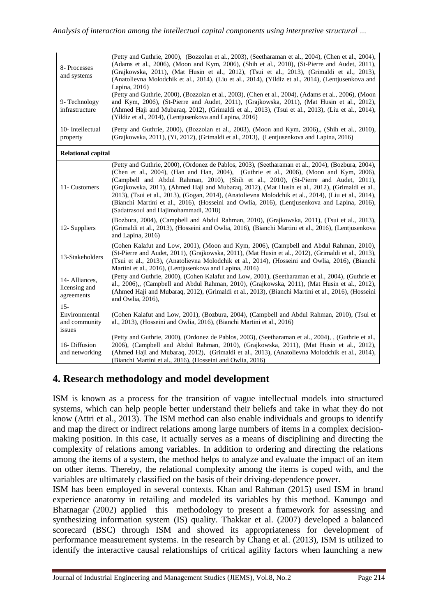| 8- Processes<br>and systems                        | (Petty and Guthrie, 2000), (Bozzolan et al., 2003), (Seetharaman et al., 2004), (Chen et al., 2004),<br>(Adams et al., 2006), (Moon and Kym, 2006), (Shih et al., 2010), (St-Pierre and Audet, 2011),<br>(Grajkowska, 2011), (Mat Husin et al., 2012), (Tsui et al., 2013), (Grimaldi et al., 2013),                                                                                                                                                                                                                                                                                                                                       |
|----------------------------------------------------|--------------------------------------------------------------------------------------------------------------------------------------------------------------------------------------------------------------------------------------------------------------------------------------------------------------------------------------------------------------------------------------------------------------------------------------------------------------------------------------------------------------------------------------------------------------------------------------------------------------------------------------------|
| 9- Technology<br>infrastructure                    | (Anatolievna Molodchik et al., 2014), (Liu et al., 2014), (Yildiz et al., 2014), (Lentjusenkova and<br>Lapina, 2016)<br>(Petty and Guthrie, 2000), (Bozzolan et al., 2003), (Chen et al., 2004), (Adams et al., 2006), (Moon<br>and Kym, 2006), (St-Pierre and Audet, 2011), (Grajkowska, 2011), (Mat Husin et al., 2012),<br>(Ahmed Haji and Mubaraq, 2012), (Grimaldi et al., 2013), (Tsui et al., 2013), (Liu et al., 2014),<br>(Yildiz et al., 2014), (Lentjusenkova and Lapina, 2016)                                                                                                                                                 |
| 10- Intellectual<br>property                       | (Petty and Guthrie, 2000), (Bozzolan et al., 2003), (Moon and Kym, 2006), (Shih et al., 2010),<br>(Grajkowska, 2011), (Yi, 2012), (Grimaldi et al., 2013), (Lentjusenkova and Lapina, 2016)                                                                                                                                                                                                                                                                                                                                                                                                                                                |
| <b>Relational capital</b>                          |                                                                                                                                                                                                                                                                                                                                                                                                                                                                                                                                                                                                                                            |
| 11- Customers                                      | (Petty and Guthrie, 2000), (Ordonez de Pablos, 2003), (Seetharaman et al., 2004), (Bozbura, 2004),<br>(Chen et al., 2004), (Han and Han, 2004), (Guthrie et al., 2006), (Moon and Kym, 2006),<br>(Campbell and Abdul Rahman, 2010), (Shih et al., 2010), (St-Pierre and Audet, 2011),<br>(Grajkowska, 2011), (Ahmed Haji and Mubaraq, 2012), (Mat Husin et al., 2012), (Grimaldi et al.,<br>2013), (Tsui et al., 2013), (Gogan, 2014), (Anatolievna Molodchik et al., 2014), (Liu et al., 2014),<br>(Bianchi Martini et al., 2016), (Hosseini and Owlia, 2016), (Lentjusenkova and Lapina, 2016),<br>(Sadatrasoul and Hajimohammadi, 2018) |
| 12- Suppliers                                      | (Bozbura, 2004), (Campbell and Abdul Rahman, 2010), (Grajkowska, 2011), (Tsui et al., 2013),<br>(Grimaldi et al., 2013), (Hosseini and Owlia, 2016), (Bianchi Martini et al., 2016), (Lentjusenkova<br>and Lapina, 2016)                                                                                                                                                                                                                                                                                                                                                                                                                   |
| 13-Stakeholders                                    | (Cohen Kalafut and Low, 2001), (Moon and Kym, 2006), (Campbell and Abdul Rahman, 2010),<br>(St-Pierre and Audet, 2011), (Grajkowska, 2011), (Mat Husin et al., 2012), (Grimaldi et al., 2013),<br>(Tsui et al., 2013), (Anatolievna Molodchik et al., 2014), (Hosseini and Owlia, 2016), (Bianchi<br>Martini et al., 2016), (Lentjusenkova and Lapina, 2016)                                                                                                                                                                                                                                                                               |
| 14- Alliances,<br>licensing and<br>agreements      | (Petty and Guthrie, 2000), (Cohen Kalafut and Low, 2001), (Seetharaman et al., 2004), (Guthrie et<br>al., 2006),, (Campbell and Abdul Rahman, 2010), (Grajkowska, 2011), (Mat Husin et al., 2012),<br>(Ahmed Haji and Mubaraq, 2012), (Grimaldi et al., 2013), (Bianchi Martini et al., 2016), (Hosseini<br>and Owlia, 2016),                                                                                                                                                                                                                                                                                                              |
| $15 -$<br>Environmental<br>and community<br>issues | (Cohen Kalafut and Low, 2001), (Bozbura, 2004), (Campbell and Abdul Rahman, 2010), (Tsui et<br>al., 2013), (Hosseini and Owlia, 2016), (Bianchi Martini et al., 2016)                                                                                                                                                                                                                                                                                                                                                                                                                                                                      |
| 16-Diffusion<br>and networking                     | (Petty and Guthrie, 2000), (Ordonez de Pablos, 2003), (Seetharaman et al., 2004), , (Guthrie et al.,<br>2006), (Campbell and Abdul Rahman, 2010), (Grajkowska, 2011), (Mat Husin et al., 2012),<br>(Ahmed Haji and Mubaraq, 2012), (Grimaldi et al., 2013), (Anatolievna Molodchik et al., 2014),<br>(Bianchi Martini et al., 2016), (Hosseini and Owlia, 2016)                                                                                                                                                                                                                                                                            |

## **4. Research methodology and model development**

ISM is known as a process for the transition of vague intellectual models into structured systems, which can help people better understand their beliefs and take in what they do not know (Attri et al., 2013). The ISM method can also enable individuals and groups to identify and map the direct or indirect relations among large numbers of items in a complex decisionmaking position. In this case, it actually serves as a means of disciplining and directing the complexity of relations among variables. In addition to ordering and directing the relations among the items of a system, the method helps to analyze and evaluate the impact of an item on other items. Thereby, the relational complexity among the items is coped with, and the variables are ultimately classified on the basis of their driving-dependence power.

ISM has been employed in several contexts. Khan and Rahman (2015) used ISM in brand experience anatomy in retailing and modeled its variables by this method. Kanungo and Bhatnagar (2002) applied this methodology to present a framework for assessing and synthesizing information system (IS) quality. Thakkar et al. (2007) developed a balanced scorecard (BSC) through ISM and showed its appropriateness for development of performance measurement systems. In the research by Chang et al. (2013), ISM is utilized to identify the interactive causal relationships of critical agility factors when launching a new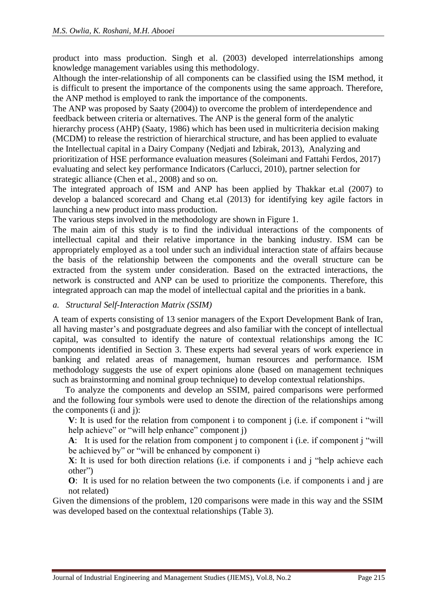product into mass production. Singh et al. (2003) developed interrelationships among knowledge management variables using this methodology.

Although the inter-relationship of all components can be classified using the ISM method, it is difficult to present the importance of the components using the same approach. Therefore, the ANP method is employed to rank the importance of the components.

The ANP was proposed by Saaty (2004)) to overcome the problem of interdependence and feedback between criteria or alternatives. The ANP is the general form of the analytic hierarchy process (AHP) (Saaty, 1986) which has been used in multicriteria decision making (MCDM) to release the restriction of hierarchical structure, and has been applied to evaluate the Intellectual capital in a Dairy Company (Nedjati and Izbirak, 2013), Analyzing and prioritization of HSE performance evaluation measures (Soleimani and Fattahi Ferdos, 2017) evaluating and select key performance Indicators (Carlucci, 2010), partner selection for strategic alliance (Chen et al., 2008) and so on.

The integrated approach of ISM and ANP has been applied by Thakkar et.al (2007) to develop a balanced scorecard and Chang et.al (2013) for identifying key agile factors in launching a new product into mass production.

The various steps involved in the methodology are shown in Figure 1.

The main aim of this study is to find the individual interactions of the components of intellectual capital and their relative importance in the banking industry. ISM can be appropriately employed as a tool under such an individual interaction state of affairs because the basis of the relationship between the components and the overall structure can be extracted from the system under consideration. Based on the extracted interactions, the network is constructed and ANP can be used to prioritize the components. Therefore, this integrated approach can map the model of intellectual capital and the priorities in a bank.

#### *a. Structural Self-Interaction Matrix (SSIM)*

A team of experts consisting of 13 senior managers of the Export Development Bank of Iran, all having master's and postgraduate degrees and also familiar with the concept of intellectual capital, was consulted to identify the nature of contextual relationships among the IC components identified in Section 3. These experts had several years of work experience in banking and related areas of management, human resources and performance. ISM methodology suggests the use of expert opinions alone (based on management techniques such as brainstorming and nominal group technique) to develop contextual relationships.

To analyze the components and develop an SSIM, paired comparisons were performed and the following four symbols were used to denote the direction of the relationships among the components (i and j):

**V**: It is used for the relation from component i to component j (i.e. if component i "will help achieve" or "will help enhance" component j)

**A**: It is used for the relation from component j to component i (i.e. if component j "will be achieved by" or "will be enhanced by component i)

**X**: It is used for both direction relations (i.e. if components i and j "help achieve each other")

**O**: It is used for no relation between the two components (i.e. if components i and j are not related)

Given the dimensions of the problem, 120 comparisons were made in this way and the SSIM was developed based on the contextual relationships (Table 3).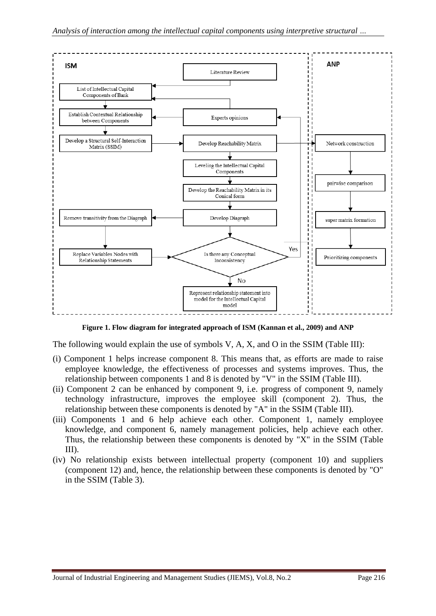

**Figure 1. Flow diagram for integrated approach of ISM (Kannan et al., 2009) and ANP**

The following would explain the use of symbols V, A, X, and O in the SSIM (Table III):

- (i) Component 1 helps increase component 8. This means that, as efforts are made to raise employee knowledge, the effectiveness of processes and systems improves. Thus, the relationship between components 1 and 8 is denoted by "V" in the SSIM (Table III).
- (ii) Component 2 can be enhanced by component 9, i.e. progress of component 9, namely technology infrastructure, improves the employee skill (component 2). Thus, the relationship between these components is denoted by "A" in the SSIM (Table III).
- (iii) Components 1 and 6 help achieve each other. Component 1, namely employee knowledge, and component 6, namely management policies, help achieve each other. Thus, the relationship between these components is denoted by "X" in the SSIM (Table III).
- (iv) No relationship exists between intellectual property (component 10) and suppliers (component 12) and, hence, the relationship between these components is denoted by "O" in the SSIM (Table 3).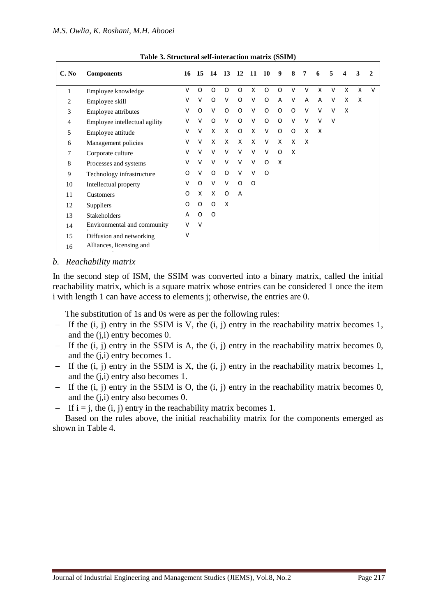| C. No          | <b>Components</b>             | 16     | 15       | -14      |                           | 13 12 11       |          | - 10         | 9            | 8                         | 7      | 6      | 5      | 4 | 3 | 2      |
|----------------|-------------------------------|--------|----------|----------|---------------------------|----------------|----------|--------------|--------------|---------------------------|--------|--------|--------|---|---|--------|
| 1              | Employee knowledge            | V      | O        | O        | 0                         | O              | X        | 0            | O            | V                         | $\vee$ | X      | v      | X | X | $\vee$ |
| 2              | Employee skill                | V      | V        | O        | $\vee$                    | $\circ$        | V        | $\mathsf{O}$ | A            | $\vee$                    | A      | A      | v      | X | X |        |
| $\mathfrak{Z}$ | Employee attributes           | V      | O        | V        | $\mathsf{O}$              | $\circ$        | V        | $\mathsf{O}$ | O            | $\mathsf{O}$              | $\vee$ | $\vee$ | V      | X |   |        |
| 4              | Employee intellectual agility | V      | $\vee$   | $\Omega$ | V                         | $\circ$        | V        | $\mathsf{O}$ | O            | $\vee$                    | $\vee$ | $\vee$ | $\vee$ |   |   |        |
| 5              | Employee attitude             | V      | $\vee$   | X        | X                         | O              | X        | $\vee$       | O            | O                         | X      | X      |        |   |   |        |
| 6              | Management policies           | V      | $\vee$   | X        | X                         | X              | X        | $\vee$       | X            | X                         | X      |        |        |   |   |        |
| 7              | Corporate culture             | $\vee$ | $\vee$   | $\vee$   | $\vee$                    | $\vee$         | $\vee$   | $\vee$       | $\mathsf{O}$ | $\boldsymbol{\mathsf{x}}$ |        |        |        |   |   |        |
| 8              | Processes and systems         | v      | $\vee$   | $\vee$   | $\vee$                    | $\vee$         | $\vee$   | $\circ$      | X            |                           |        |        |        |   |   |        |
| 9              | Technology infrastructure     | O      | $\vee$   | O        | $\Omega$                  | $\vee$         | $\vee$   | $\Omega$     |              |                           |        |        |        |   |   |        |
| 10             | Intellectual property         | v      | $\Omega$ | $\vee$   | $\vee$                    | O              | $\Omega$ |              |              |                           |        |        |        |   |   |        |
| 11             | Customers                     | O      | X        | X        | $\Omega$                  | $\overline{A}$ |          |              |              |                           |        |        |        |   |   |        |
| 12             | Suppliers                     | O      | O        | O        | $\boldsymbol{\mathsf{x}}$ |                |          |              |              |                           |        |        |        |   |   |        |
| 13             | <b>Stakeholders</b>           | A      | $\Omega$ | $\Omega$ |                           |                |          |              |              |                           |        |        |        |   |   |        |
| 14             | Environmental and community   | V      | $\vee$   |          |                           |                |          |              |              |                           |        |        |        |   |   |        |
| 15             | Diffusion and networking      | v      |          |          |                           |                |          |              |              |                           |        |        |        |   |   |        |
| 16             | Alliances, licensing and      |        |          |          |                           |                |          |              |              |                           |        |        |        |   |   |        |

**Table 3. Structural self-interaction matrix (SSIM)**

#### *b. Reachability matrix*

In the second step of ISM, the SSIM was converted into a binary matrix, called the initial reachability matrix, which is a square matrix whose entries can be considered 1 once the item i with length 1 can have access to elements j; otherwise, the entries are 0.

The substitution of 1s and 0s were as per the following rules:

- − If the (i, j) entry in the SSIM is V, the (i, j) entry in the reachability matrix becomes 1, and the (j,i) entry becomes 0.
- − If the (i, j) entry in the SSIM is A, the (i, j) entry in the reachability matrix becomes 0, and the (j,i) entry becomes 1.
- − If the (i, j) entry in the SSIM is X, the (i, j) entry in the reachability matrix becomes 1, and the (j,i) entry also becomes 1.
- − If the (i, j) entry in the SSIM is O, the (i, j) entry in the reachability matrix becomes 0, and the (j,i) entry also becomes 0.
- $-$  If i = j, the (i, j) entry in the reachability matrix becomes 1.

Based on the rules above, the initial reachability matrix for the components emerged as shown in Table 4.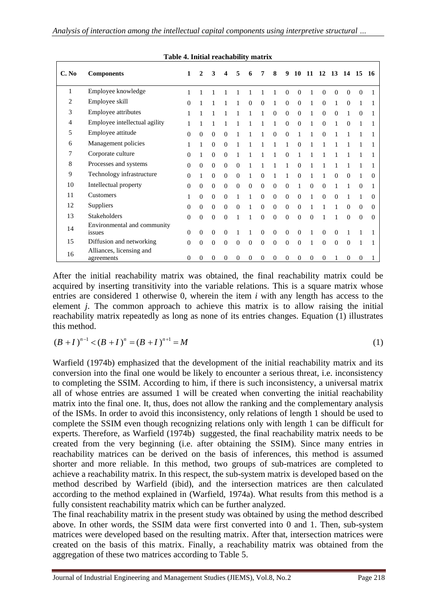**Table 4. Initial reachability matrix**

|       | Table 4. Initial reachability matrix   |              |              |                |          |              |              |                |              |                |              |          |                   |                |              |              |          |
|-------|----------------------------------------|--------------|--------------|----------------|----------|--------------|--------------|----------------|--------------|----------------|--------------|----------|-------------------|----------------|--------------|--------------|----------|
| C. No | <b>Components</b>                      | 1            | $\mathbf{2}$ | 3              | 4        | 5            | 6            | 7              | 8            | 9              | <b>10</b>    |          | 11 12 13 14 15 16 |                |              |              |          |
| 1     | Employee knowledge                     |              |              |                |          |              |              |                |              | 0              | $\Omega$     |          | $\Omega$          | $\theta$       | $\Omega$     | $\Omega$     |          |
| 2     | Employee skill                         | $\Omega$     |              |                |          |              | $\Omega$     | $\theta$       | 1            | $\mathbf{0}$   | $\Omega$     |          | $\Omega$          | 1              | $\Omega$     | 1            |          |
| 3     | Employee attributes                    | 1            |              |                |          |              |              |                | $\Omega$     | $\mathbf{0}$   | $\Omega$     |          | $\Omega$          | $\theta$       | 1            | $\Omega$     |          |
| 4     | Employee intellectual agility          | 1            |              |                |          |              |              |                |              | 0              | $\theta$     |          | $\theta$          |                | $\Omega$     | 1            |          |
| 5     | Employee attitude                      | $\Omega$     | $\Omega$     | $\Omega$       | $\Omega$ |              |              |                | $\Omega$     | $\Omega$       |              |          | $\Omega$          |                |              |              |          |
| 6     | Management policies                    | 1            | 1            | $\overline{0}$ | $\Omega$ |              |              | 1              | 1            | 1              | $\Omega$     |          |                   |                |              |              |          |
| 7     | Corporate culture                      | $\Omega$     |              | $\Omega$       | $\Omega$ |              |              |                |              | 0              |              |          |                   |                |              |              |          |
| 8     | Processes and systems                  | $\Omega$     | $\Omega$     | $\overline{0}$ | $\Omega$ | $\Omega$     |              |                |              |                | 0            |          |                   |                |              |              |          |
| 9     | Technology infrastructure              | $\Omega$     | 1            | $\Omega$       | $\Omega$ | $\Omega$     | 1            | $\Omega$       | 1            |                | $\Omega$     |          |                   | $\Omega$       | $\Omega$     | 1            | 0        |
| 10    | Intellectual property                  | $\Omega$     | $\Omega$     | $\Omega$       | $\Omega$ | $\Omega$     | $\mathbf{0}$ | $\overline{0}$ | $\theta$     | $\Omega$       | 1            | $\Omega$ | $\Omega$          | 1              | 1            | $\Omega$     |          |
| 11    | Customers                              | 1            | $\Omega$     | $\Omega$       | $\Omega$ | 1            | $\mathbf{1}$ | $\Omega$       | $\theta$     | $\Omega$       | $\Omega$     | 1        | $\Omega$          | $\Omega$       | 1            | 1            | 0        |
| 12    | Suppliers                              | $\mathbf{0}$ | $\Omega$     | $\Omega$       | $\theta$ | $\Omega$     | 1            | $\theta$       | $\theta$     | $\Omega$       | $\Omega$     |          |                   | 1              | $\Omega$     | $\Omega$     | 0        |
| 13    | Stakeholders                           | $\Omega$     | $\Omega$     | $\Omega$       | $\theta$ |              |              | $\Omega$       | $\Omega$     | $\theta$       | $\theta$     | $\Omega$ |                   |                | $\Omega$     | $\Omega$     | $\Omega$ |
| 14    | Environmental and community<br>issues  | $\mathbf{0}$ | $\Omega$     | $\overline{0}$ | $\Omega$ |              |              | $\Omega$       | $\mathbf{0}$ | $\theta$       | $\mathbf{0}$ | 1        | $\theta$          | $\mathbf{0}$   | 1            | 1            |          |
| 15    | Diffusion and networking               | $\theta$     | $\Omega$     | $\overline{0}$ | $\theta$ | $\mathbf{0}$ | $\mathbf{0}$ | $\overline{0}$ | $\mathbf{0}$ | $\overline{0}$ | $\theta$     | 1        | $\mathbf{0}$      | $\overline{0}$ | $\Omega$     | 1            |          |
| 16    | Alliances, licensing and<br>agreements | $\mathbf{0}$ | $\theta$     | 0              | 0        | $\theta$     | $\mathbf{0}$ | $\overline{0}$ | $\theta$     | $\mathbf{0}$   | 0            | $\theta$ | $\mathbf{0}$      | 1              | $\mathbf{0}$ | $\mathbf{0}$ |          |

After the initial reachability matrix was obtained, the final reachability matrix could be acquired by inserting transitivity into the variable relations. This is a square matrix whose entries are considered 1 otherwise 0, wherein the item *i* with any length has access to the element *j*. The common approach to achieve this matrix is to allow raising the initial reachability matrix repeatedly as long as none of its entries changes. Equation (1) illustrates this method.

$$
(B+I)^{n-1} < (B+I)^n = (B+I)^{n+1} = M
$$
\n(1)

Warfield (1974b) emphasized that the development of the initial reachability matrix and its conversion into the final one would be likely to encounter a serious threat, i.e. inconsistency to completing the SSIM. According to him, if there is such inconsistency, a universal matrix all of whose entries are assumed 1 will be created when converting the initial reachability matrix into the final one. It, thus, does not allow the ranking and the complementary analysis of the ISMs. In order to avoid this inconsistency, only relations of length 1 should be used to complete the SSIM even though recognizing relations only with length 1 can be difficult for experts. Therefore, as Warfield (1974b) suggested, the final reachability matrix needs to be created from the very beginning (i.e. after obtaining the SSIM). Since many entries in reachability matrices can be derived on the basis of inferences, this method is assumed shorter and more reliable. In this method, two groups of sub-matrices are completed to achieve a reachability matrix. In this respect, the sub-system matrix is developed based on the method described by Warfield (ibid), and the intersection matrices are then calculated according to the method explained in (Warfield, 1974a). What results from this method is a fully consistent reachability matrix which can be further analyzed.

The final reachability matrix in the present study was obtained by using the method described above. In other words, the SSIM data were first converted into 0 and 1. Then, sub-system matrices were developed based on the resulting matrix. After that, intersection matrices were created on the basis of this matrix. Finally, a reachability matrix was obtained from the aggregation of these two matrices according to Table 5.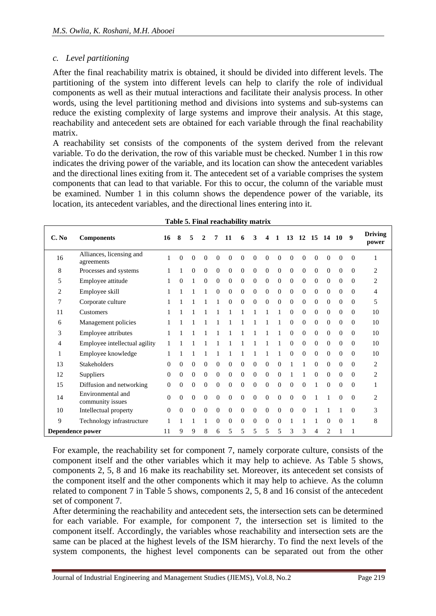#### *c. Level partitioning*

After the final reachability matrix is obtained, it should be divided into different levels. The partitioning of the system into different levels can help to clarify the role of individual components as well as their mutual interactions and facilitate their analysis process. In other words, using the level partitioning method and divisions into systems and sub-systems can reduce the existing complexity of large systems and improve their analysis. At this stage, reachability and antecedent sets are obtained for each variable through the final reachability matrix.

A reachability set consists of the components of the system derived from the relevant variable. To do the derivation, the row of this variable must be checked. Number 1 in this row indicates the driving power of the variable, and its location can show the antecedent variables and the directional lines exiting from it. The antecedent set of a variable comprises the system components that can lead to that variable. For this to occur, the column of the variable must be examined. Number 1 in this column shows the dependence power of the variable, its location, its antecedent variables, and the directional lines entering into it.

| C. No          | <b>Components</b>                      | 16       | 8        | 5              | 2            |              | 11             | 6              | 3            |          |                | 13             | 12       | 15           | - 14           | 10       | $\boldsymbol{q}$ | <b>Driving</b><br>power |
|----------------|----------------------------------------|----------|----------|----------------|--------------|--------------|----------------|----------------|--------------|----------|----------------|----------------|----------|--------------|----------------|----------|------------------|-------------------------|
| 16             | Alliances, licensing and<br>agreements |          | $\Omega$ | 0              | $\Omega$     | $\Omega$     | $\Omega$       | $\Omega$       | $\Omega$     | 0        | 0              | 0              | 0        | 0            | 0              | 0        | $\overline{0}$   |                         |
| 8              | Processes and systems                  |          |          | 0              | $\Omega$     | $\Omega$     | $\Omega$       | $\Omega$       | $\Omega$     | $\Omega$ | $\Omega$       | $\Omega$       | $\Omega$ | $\Omega$     | $\Omega$       | $\Omega$ | $\Omega$         | $\overline{c}$          |
| 5              | Employee attitude                      |          | $\Omega$ |                | $\theta$     | $\Omega$     | $\Omega$       | $\Omega$       | $\Omega$     | $\Omega$ | $\Omega$       | $\Omega$       | $\Omega$ | $\Omega$     | $\theta$       | $\Omega$ | $\Omega$         | $\overline{2}$          |
| $\overline{c}$ | Employee skill                         |          |          |                |              | $\Omega$     | $\Omega$       | $\Omega$       | $\mathbf{0}$ | $\Omega$ | $\mathbf{0}$   | $\theta$       | $\Omega$ | $\Omega$     | $\theta$       | $\Omega$ | $\Omega$         | 4                       |
| 7              | Corporate culture                      |          |          |                |              |              | $\Omega$       | $\mathbf{0}$   | $\theta$     | $\Omega$ | $\mathbf{0}$   | $\overline{0}$ | $\Omega$ | $\theta$     | $\Omega$       | $\Omega$ | $\mathbf{0}$     | 5                       |
| 11             | Customers                              |          |          |                |              |              |                |                |              |          |                | $\Omega$       | $\Omega$ | $\theta$     | $\Omega$       | $\Omega$ | $\mathbf{0}$     | 10                      |
| 6              | Management policies                    |          |          |                |              |              |                |                |              |          |                | 0              | 0        | $\mathbf{0}$ | $\Omega$       | 0        | $\mathbf{0}$     | 10                      |
| 3              | Employee attributes                    |          |          |                |              |              |                |                |              |          |                | 0              | $\Omega$ | $\Omega$     | $\Omega$       | $\Omega$ | $\Omega$         | 10                      |
| 4              | Employee intellectual agility          |          |          |                |              |              |                |                |              |          |                | $\Omega$       | $\Omega$ | $\Omega$     | $\theta$       | 0        | $\Omega$         | 10                      |
|                | Employee knowledge                     |          |          |                |              |              |                |                |              |          |                | 0              | $\Omega$ | $\Omega$     | $\theta$       | $\Omega$ | $\Omega$         | 10                      |
| 13             | <b>Stakeholders</b>                    | 0        | $\Omega$ | $\Omega$       | $\mathbf{0}$ | $\Omega$     | $\Omega$       | $\Omega$       | $\Omega$     | $\Omega$ | $\Omega$       |                |          | $\Omega$     | $\Omega$       | $\Omega$ | $\Omega$         | 2                       |
| 12             | Suppliers                              | $\Omega$ | $\Omega$ | $\mathbf{0}$   | $\mathbf{0}$ | $\mathbf{0}$ | $\Omega$       | $\Omega$       | $\theta$     | $\Omega$ | $\Omega$       | 1              |          | $\Omega$     | $\Omega$       | $\Omega$ | $\Omega$         | 2                       |
| 15             | Diffusion and networking               | 0        | 0        | $\overline{0}$ | $\mathbf{0}$ | $\theta$     | $\overline{0}$ | $\overline{0}$ | $\mathbf{0}$ | $\Omega$ | $\overline{0}$ | 0              | $\Omega$ |              | $\Omega$       | 0        | $\mathbf{0}$     |                         |
| 14             | Environmental and<br>community issues  | $\Omega$ | $\Omega$ | 0              | $\mathbf{0}$ | $\theta$     | $\overline{0}$ | $\mathbf{0}$   | $\theta$     | $\Omega$ | $\mathbf{0}$   | $\Omega$       | $\Omega$ |              |                | $\Omega$ | $\mathbf{0}$     | $\overline{2}$          |
| 10             | Intellectual property                  | $\Omega$ | $\Omega$ | $\Omega$       | $\Omega$     | $\Omega$     | $\Omega$       | $\Omega$       | $\Omega$     | $\Omega$ | $\theta$       | $\Omega$       | $\Omega$ |              |                |          | $\Omega$         | 3                       |
| 9              | Technology infrastructure              |          |          |                |              | $\Omega$     | $\theta$       | $\Omega$       | $\Omega$     | $\Omega$ | $\theta$       |                |          |              | 0              | $\Omega$ |                  | 8                       |
|                | Dependence power                       |          |          | 9              | 8            | 6            | 5              | 5              | 5            | 5        | 5              | 3              | 3        | 4            | $\overline{c}$ |          |                  |                         |

|  | Table 5. Final reachability matrix |  |
|--|------------------------------------|--|
|  |                                    |  |

For example, the reachability set for component 7, namely corporate culture, consists of the component itself and the other variables which it may help to achieve. As Table 5 shows, components 2, 5, 8 and 16 make its reachability set. Moreover, its antecedent set consists of the component itself and the other components which it may help to achieve. As the column related to component 7 in Table 5 shows, components 2, 5, 8 and 16 consist of the antecedent set of component 7.

After determining the reachability and antecedent sets, the intersection sets can be determined for each variable. For example, for component 7, the intersection set is limited to the component itself. Accordingly, the variables whose reachability and intersection sets are the same can be placed at the highest levels of the ISM hierarchy. To find the next levels of the system components, the highest level components can be separated out from the other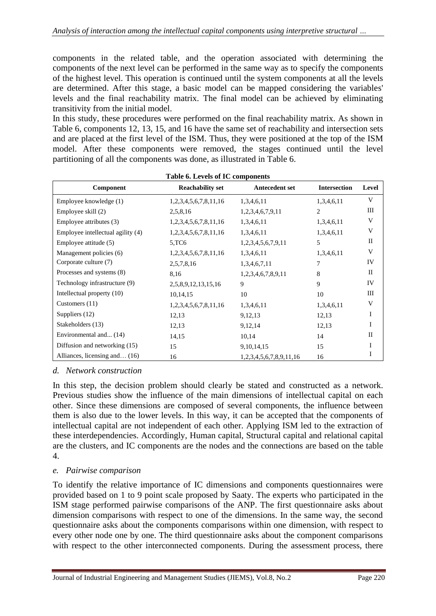components in the related table, and the operation associated with determining the components of the next level can be performed in the same way as to specify the components of the highest level. This operation is continued until the system components at all the levels are determined. After this stage, a basic model can be mapped considering the variables' levels and the final reachability matrix. The final model can be achieved by eliminating transitivity from the initial model.

In this study, these procedures were performed on the final reachability matrix. As shown in Table 6, components 12, 13, 15, and 16 have the same set of reachability and intersection sets and are placed at the first level of the ISM. Thus, they were positioned at the top of the ISM model. After these components were removed, the stages continued until the level partitioning of all the components was done, as illustrated in Table 6.

| Table 6. Levels of IC components      |                         |                         |                     |              |  |  |  |  |  |
|---------------------------------------|-------------------------|-------------------------|---------------------|--------------|--|--|--|--|--|
| Component                             | <b>Reachability set</b> | <b>Antecedent set</b>   | <b>Intersection</b> | Level        |  |  |  |  |  |
| Employee knowledge (1)                | 1,2,3,4,5,6,7,8,11,16   | 1,3,4,6,11              | 1,3,4,6,11          | V            |  |  |  |  |  |
| Employee skill (2)                    | 2,5,8,16                | 1,2,3,4,6,7,9,11        | 2                   | Ш            |  |  |  |  |  |
| Employee attributes (3)               | 1,2,3,4,5,6,7,8,11,16   | 1,3,4,6,11              | 1,3,4,6,11          | V            |  |  |  |  |  |
| Employee intellectual agility (4)     | 1,2,3,4,5,6,7,8,11,16   | 1,3,4,6,11              | 1,3,4,6,11          | V            |  |  |  |  |  |
| Employee attitude (5)                 | 5,TC6                   | 1,2,3,4,5,6,7,9,11      | 5                   | $\mathbf{I}$ |  |  |  |  |  |
| Management policies (6)               | 1,2,3,4,5,6,7,8,11,16   | 1,3,4,6,11              | 1,3,4,6,11          | V            |  |  |  |  |  |
| Corporate culture (7)                 | 2,5,7,8,16              | 1,3,4,6,7,11            | 7                   | IV           |  |  |  |  |  |
| Processes and systems (8)             | 8,16                    | 1,2,3,4,6,7,8,9,11      | 8                   | $\rm{II}$    |  |  |  |  |  |
| Technology infrastructure (9)         | 2,5,8,9,12,13,15,16     | 9                       | 9                   | IV           |  |  |  |  |  |
| Intellectual property (10)            | 10,14,15                | 10                      | 10                  | Ш            |  |  |  |  |  |
| Customers (11)                        | 1,2,3,4,5,6,7,8,11,16   | 1,3,4,6,11              | 1,3,4,6,11          | V            |  |  |  |  |  |
| Suppliers (12)                        | 12,13                   | 9,12,13                 | 12,13               | I            |  |  |  |  |  |
| Stakeholders (13)                     | 12,13                   | 9,12,14                 | 12,13               | Ι            |  |  |  |  |  |
| Environmental and (14)                | 14,15                   | 10,14                   | 14                  | $\mathbf{I}$ |  |  |  |  |  |
| Diffusion and networking (15)         | 15                      | 9, 10, 14, 15           | 15                  | I            |  |  |  |  |  |
| Alliances, licensing and $\dots$ (16) | 16                      | 1,2,3,4,5,6,7,8,9,11,16 | 16                  | I            |  |  |  |  |  |

#### *d. Network construction*

In this step, the decision problem should clearly be stated and constructed as a network. Previous studies show the influence of the main dimensions of intellectual capital on each other. Since these dimensions are composed of several components, the influence between them is also due to the lower levels. In this way, it can be accepted that the components of intellectual capital are not independent of each other. Applying ISM led to the extraction of these interdependencies. Accordingly, Human capital, Structural capital and relational capital are the clusters, and IC components are the nodes and the connections are based on the table 4.

#### *e. Pairwise comparison*

To identify the relative importance of IC dimensions and components questionnaires were provided based on 1 to 9 point scale proposed by Saaty. The experts who participated in the ISM stage performed pairwise comparisons of the ANP. The first questionnaire asks about dimension comparisons with respect to one of the dimensions. In the same way, the second questionnaire asks about the components comparisons within one dimension, with respect to every other node one by one. The third questionnaire asks about the component comparisons with respect to the other interconnected components. During the assessment process, there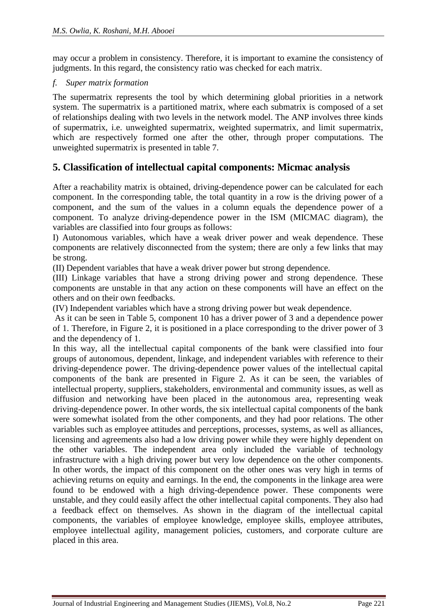may occur a problem in consistency. Therefore, it is important to examine the consistency of judgments. In this regard, the consistency ratio was checked for each matrix.

#### *f. Super matrix formation*

The supermatrix represents the tool by which determining global priorities in a network system. The supermatrix is a partitioned matrix, where each submatrix is composed of a set of relationships dealing with two levels in the network model. The ANP involves three kinds of supermatrix, i.e. unweighted supermatrix, weighted supermatrix, and limit supermatrix, which are respectively formed one after the other, through proper computations. The unweighted supermatrix is presented in table 7.

### **5. Classification of intellectual capital components: Micmac analysis**

After a reachability matrix is obtained, driving-dependence power can be calculated for each component. In the corresponding table, the total quantity in a row is the driving power of a component, and the sum of the values in a column equals the dependence power of a component. To analyze driving-dependence power in the ISM (MICMAC diagram), the variables are classified into four groups as follows:

I) Autonomous variables, which have a weak driver power and weak dependence. These components are relatively disconnected from the system; there are only a few links that may be strong.

(II) Dependent variables that have a weak driver power but strong dependence.

(III) Linkage variables that have a strong driving power and strong dependence. These components are unstable in that any action on these components will have an effect on the others and on their own feedbacks.

(IV) Independent variables which have a strong driving power but weak dependence.

As it can be seen in Table 5, component 10 has a driver power of 3 and a dependence power of 1. Therefore, in Figure 2, it is positioned in a place corresponding to the driver power of 3 and the dependency of 1.

In this way, all the intellectual capital components of the bank were classified into four groups of autonomous, dependent, linkage, and independent variables with reference to their driving-dependence power. The driving-dependence power values of the intellectual capital components of the bank are presented in Figure 2. As it can be seen, the variables of intellectual property, suppliers, stakeholders, environmental and community issues, as well as diffusion and networking have been placed in the autonomous area, representing weak driving-dependence power. In other words, the six intellectual capital components of the bank were somewhat isolated from the other components, and they had poor relations. The other variables such as employee attitudes and perceptions, processes, systems, as well as alliances, licensing and agreements also had a low driving power while they were highly dependent on the other variables. The independent area only included the variable of technology infrastructure with a high driving power but very low dependence on the other components. In other words, the impact of this component on the other ones was very high in terms of achieving returns on equity and earnings. In the end, the components in the linkage area were found to be endowed with a high driving-dependence power. These components were unstable, and they could easily affect the other intellectual capital components. They also had a feedback effect on themselves. As shown in the diagram of the intellectual capital components, the variables of employee knowledge, employee skills, employee attributes, employee intellectual agility, management policies, customers, and corporate culture are placed in this area.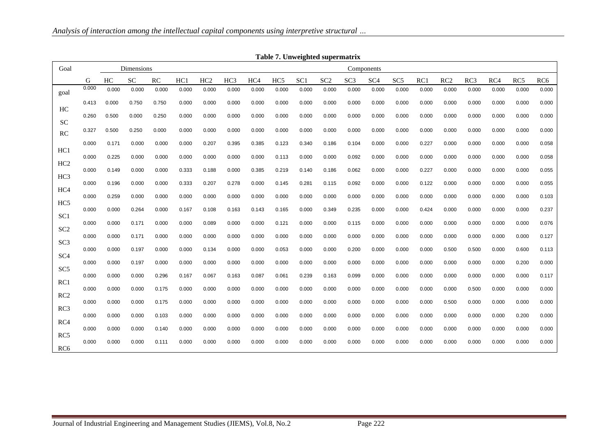| Goal            |       |       | Dimensions |       |       |       |       |                 |                 |       | Table 7. Unweighted supermatrix |       | Components      |                 |       |       |                 |       |                 |                 |
|-----------------|-------|-------|------------|-------|-------|-------|-------|-----------------|-----------------|-------|---------------------------------|-------|-----------------|-----------------|-------|-------|-----------------|-------|-----------------|-----------------|
|                 | G     | HC    | <b>SC</b>  | RC    | HC1   | HC2   | HC3   | HC <sub>4</sub> | HC <sub>5</sub> | SC1   | SC2                             | SC3   | SC <sub>4</sub> | SC <sub>5</sub> | RC1   | RC2   | RC <sub>3</sub> | RC4   | RC <sub>5</sub> | RC <sub>6</sub> |
| goal            | 0.000 | 0.000 | 0.000      | 0.000 | 0.000 | 0.000 | 0.000 | 0.000           | 0.000           | 0.000 | 0.000                           | 0.000 | 0.000           | 0.000           | 0.000 | 0.000 | 0.000           | 0.000 | 0.000           | 0.000           |
|                 | 0.413 | 0.000 | 0.750      | 0.750 | 0.000 | 0.000 | 0.000 | 0.000           | 0.000           | 0.000 | 0.000                           | 0.000 | 0.000           | 0.000           | 0.000 | 0.000 | 0.000           | 0.000 | 0.000           | 0.000           |
| HC              | 0.260 | 0.500 | 0.000      | 0.250 | 0.000 | 0.000 | 0.000 | 0.000           | 0.000           | 0.000 | 0.000                           | 0.000 | 0.000           | 0.000           | 0.000 | 0.000 | 0.000           | 0.000 | 0.000           | 0.000           |
| <b>SC</b><br>RC | 0.327 | 0.500 | 0.250      | 0.000 | 0.000 | 0.000 | 0.000 | 0.000           | 0.000           | 0.000 | 0.000                           | 0.000 | 0.000           | 0.000           | 0.000 | 0.000 | 0.000           | 0.000 | 0.000           | 0.000           |
|                 | 0.000 | 0.171 | 0.000      | 0.000 | 0.000 | 0.207 | 0.395 | 0.385           | 0.123           | 0.340 | 0.186                           | 0.104 | 0.000           | 0.000           | 0.227 | 0.000 | 0.000           | 0.000 | 0.000           | 0.058           |
| HC1             | 0.000 | 0.225 | 0.000      | 0.000 | 0.000 | 0.000 | 0.000 | 0.000           | 0.113           | 0.000 | 0.000                           | 0.092 | 0.000           | 0.000           | 0.000 | 0.000 | 0.000           | 0.000 | 0.000           | 0.058           |
| HC <sub>2</sub> | 0.000 | 0.149 | 0.000      | 0.000 | 0.333 | 0.188 | 0.000 | 0.385           | 0.219           | 0.140 | 0.186                           | 0.062 | 0.000           | 0.000           | 0.227 | 0.000 | 0.000           | 0.000 | 0.000           | 0.055           |
| HC <sub>3</sub> | 0.000 | 0.196 | 0.000      | 0.000 | 0.333 | 0.207 | 0.278 | 0.000           | 0.145           | 0.281 | 0.115                           | 0.092 | 0.000           | 0.000           | 0.122 | 0.000 | 0.000           | 0.000 | 0.000           | 0.055           |
| HC <sub>4</sub> | 0.000 | 0.259 | 0.000      | 0.000 | 0.000 | 0.000 | 0.000 | 0.000           | 0.000           | 0.000 | 0.000                           | 0.000 | 0.000           | 0.000           | 0.000 | 0.000 | 0.000           | 0.000 | 0.000           | 0.103           |
| HC <sub>5</sub> | 0.000 | 0.000 | 0.264      | 0.000 | 0.167 | 0.108 | 0.163 | 0.143           | 0.165           | 0.000 | 0.349                           | 0.235 | 0.000           | 0.000           | 0.424 | 0.000 | 0.000           | 0.000 | 0.000           | 0.237           |
| SC <sub>1</sub> | 0.000 | 0.000 | 0.171      | 0.000 | 0.000 | 0.089 | 0.000 | 0.000           | 0.121           | 0.000 | 0.000                           | 0.115 | 0.000           | 0.000           | 0.000 | 0.000 | 0.000           | 0.000 | 0.000           | 0.076           |
| SC <sub>2</sub> | 0.000 | 0.000 | 0.171      | 0.000 | 0.000 | 0.000 | 0.000 | 0.000           | 0.000           | 0.000 | 0.000                           | 0.000 | 0.000           | 0.000           | 0.000 | 0.000 | 0.000           | 0.000 | 0.000           | 0.127           |
| SC <sub>3</sub> |       |       |            |       |       |       |       |                 |                 |       |                                 |       |                 |                 |       |       |                 |       |                 |                 |
| SC <sub>4</sub> | 0.000 | 0.000 | 0.197      | 0.000 | 0.000 | 0.134 | 0.000 | 0.000           | 0.053           | 0.000 | 0.000                           | 0.200 | 0.000           | 0.000           | 0.000 | 0.500 | 0.500           | 0.000 | 0.600           | 0.113           |
| SC <sub>5</sub> | 0.000 | 0.000 | 0.197      | 0.000 | 0.000 | 0.000 | 0.000 | 0.000           | 0.000           | 0.000 | 0.000                           | 0.000 | 0.000           | 0.000           | 0.000 | 0.000 | 0.000           | 0.000 | 0.200           | 0.000           |
| RC1             | 0.000 | 0.000 | 0.000      | 0.296 | 0.167 | 0.067 | 0.163 | 0.087           | 0.061           | 0.239 | 0.163                           | 0.099 | 0.000           | 0.000           | 0.000 | 0.000 | 0.000           | 0.000 | 0.000           | 0.117           |
|                 | 0.000 | 0.000 | 0.000      | 0.175 | 0.000 | 0.000 | 0.000 | 0.000           | 0.000           | 0.000 | 0.000                           | 0.000 | 0.000           | 0.000           | 0.000 | 0.000 | 0.500           | 0.000 | 0.000           | 0.000           |
| RC <sub>2</sub> | 0.000 | 0.000 | 0.000      | 0.175 | 0.000 | 0.000 | 0.000 | 0.000           | 0.000           | 0.000 | 0.000                           | 0.000 | 0.000           | 0.000           | 0.000 | 0.500 | 0.000           | 0.000 | 0.000           | 0.000           |
| RC3             | 0.000 | 0.000 | 0.000      | 0.103 | 0.000 | 0.000 | 0.000 | 0.000           | 0.000           | 0.000 | 0.000                           | 0.000 | 0.000           | 0.000           | 0.000 | 0.000 | 0.000           | 0.000 | 0.200           | 0.000           |
| RC4             | 0.000 | 0.000 | 0.000      | 0.140 | 0.000 | 0.000 | 0.000 | 0.000           | 0.000           | 0.000 | 0.000                           | 0.000 | 0.000           | 0.000           | 0.000 | 0.000 | 0.000           | 0.000 | 0.000           | 0.000           |
| RC5             | 0.000 | 0.000 | 0.000      | 0.111 | 0.000 | 0.000 | 0.000 | 0.000           | 0.000           | 0.000 | 0.000                           | 0.000 | 0.000           | 0.000           | 0.000 | 0.000 | 0.000           | 0.000 | 0.000           | 0.000           |
| RC <sub>6</sub> |       |       |            |       |       |       |       |                 |                 |       |                                 |       |                 |                 |       |       |                 |       |                 |                 |

**Table 7. Unweighted supermatrix**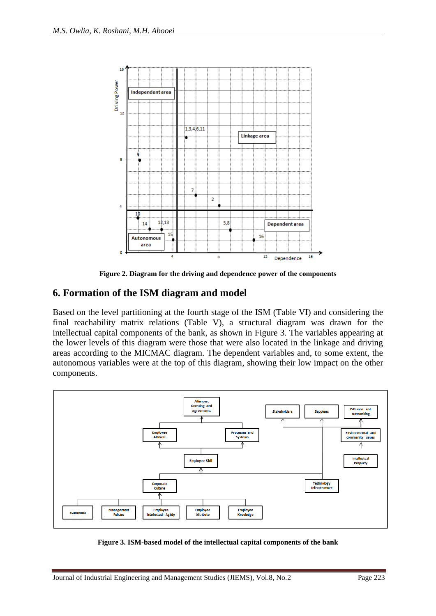

**Figure 2. Diagram for the driving and dependence power of the components**

### **6. Formation of the ISM diagram and model**

Based on the level partitioning at the fourth stage of the ISM (Table VI) and considering the final reachability matrix relations (Table V), a structural diagram was drawn for the intellectual capital components of the bank, as shown in Figure 3. The variables appearing at the lower levels of this diagram were those that were also located in the linkage and driving areas according to the MICMAC diagram. The dependent variables and, to some extent, the autonomous variables were at the top of this diagram, showing their low impact on the other components.



**Figure 3. ISM-based model of the intellectual capital components of the bank**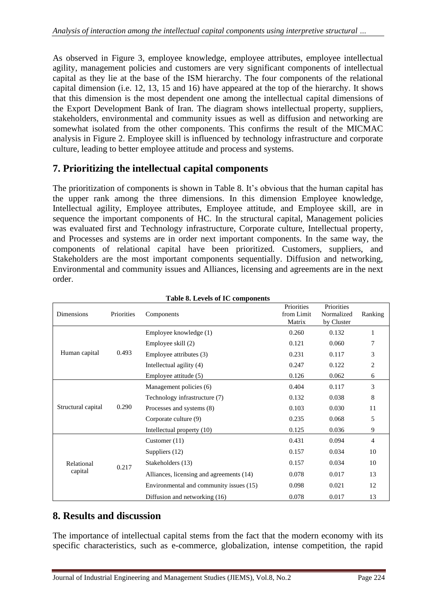As observed in Figure 3, employee knowledge, employee attributes, employee intellectual agility, management policies and customers are very significant components of intellectual capital as they lie at the base of the ISM hierarchy. The four components of the relational capital dimension (i.e. 12, 13, 15 and 16) have appeared at the top of the hierarchy. It shows that this dimension is the most dependent one among the intellectual capital dimensions of the Export Development Bank of Iran. The diagram shows intellectual property, suppliers, stakeholders, environmental and community issues as well as diffusion and networking are somewhat isolated from the other components. This confirms the result of the MICMAC analysis in Figure 2. Employee skill is influenced by technology infrastructure and corporate culture, leading to better employee attitude and process and systems.

## **7. Prioritizing the intellectual capital components**

The prioritization of components is shown in Table 8. It's obvious that the human capital has the upper rank among the three dimensions. In this dimension Employee knowledge, Intellectual agility, Employee attributes, Employee attitude, and Employee skill, are in sequence the important components of HC. In the structural capital, Management policies was evaluated first and Technology infrastructure, Corporate culture, Intellectual property, and Processes and systems are in order next important components. In the same way, the components of relational capital have been prioritized. Customers, suppliers, and Stakeholders are the most important components sequentially. Diffusion and networking, Environmental and community issues and Alliances, licensing and agreements are in the next order .

| <b>Dimensions</b>  | Priorities | Components                               | Priorities<br>from Limit<br>Matrix | Priorities<br>Normalized<br>by Cluster | Ranking |
|--------------------|------------|------------------------------------------|------------------------------------|----------------------------------------|---------|
|                    |            | Employee knowledge (1)                   | 0.260                              | 0.132                                  | 1       |
|                    |            | Employee skill (2)                       | 0.121                              | 0.060                                  | 7       |
| Human capital      | 0.493      | Employee attributes (3)                  | 0.231                              | 0.117                                  | 3       |
|                    |            | Intellectual agility (4)                 | 0.247                              | 0.122                                  | 2       |
|                    |            | Employee attitude (5)                    | 0.126                              | 0.062                                  | 6       |
|                    |            | Management policies (6)                  | 0.404                              | 0.117                                  | 3       |
|                    | 0.290      | Technology infrastructure (7)            | 0.132                              | 0.038                                  | 8       |
| Structural capital |            | Processes and systems (8)                | 0.103                              | 0.030                                  | 11      |
|                    |            | Corporate culture (9)                    | 0.235                              | 0.068                                  | 5       |
|                    |            | Intellectual property (10)               | 0.125                              | 0.036                                  | 9       |
|                    |            | Customer $(11)$                          | 0.431                              | 0.094                                  | 4       |
|                    |            | Suppliers (12)                           | 0.157                              | 0.034                                  | 10      |
| Relational         | 0.217      | Stakeholders (13)                        | 0.157                              | 0.034                                  | 10      |
| capital            |            | Alliances, licensing and agreements (14) | 0.078                              | 0.017                                  | 13      |
|                    |            | Environmental and community issues (15)  | 0.098                              | 0.021                                  | 12      |
|                    |            | Diffusion and networking (16)            | 0.078                              | 0.017                                  | 13      |

#### **Table 8. Levels of IC components**

### **8. Results and discussion**

The importance of intellectual capital stems from the fact that the modern economy with its specific characteristics, such as e-commerce, globalization, intense competition, the rapid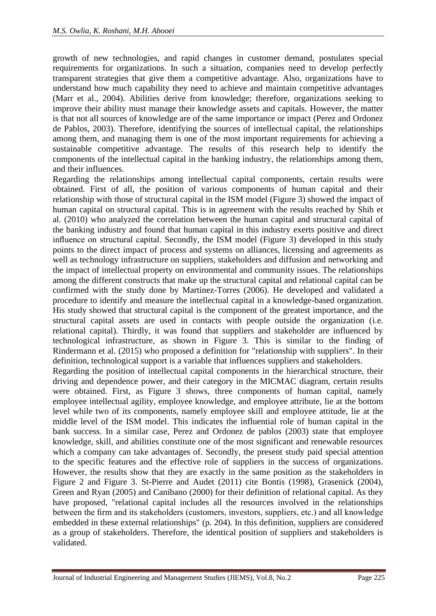growth of new technologies, and rapid changes in customer demand, postulates special requirements for organizations. In such a situation, companies need to develop perfectly transparent strategies that give them a competitive advantage. Also, organizations have to understand how much capability they need to achieve and maintain competitive advantages (Marr et al., 2004). Abilities derive from knowledge; therefore, organizations seeking to improve their ability must manage their knowledge assets and capitals. However, the matter is that not all sources of knowledge are of the same importance or impact (Perez and Ordonez de Pablos, 2003). Therefore, identifying the sources of intellectual capital, the relationships among them, and managing them is one of the most important requirements for achieving a sustainable competitive advantage. The results of this research help to identify the components of the intellectual capital in the banking industry, the relationships among them, and their influences.

Regarding the relationships among intellectual capital components, certain results were obtained. First of all, the position of various components of human capital and their relationship with those of structural capital in the ISM model (Figure 3) showed the impact of human capital on structural capital. This is in agreement with the results reached by Shih et al. (2010) who analyzed the correlation between the human capital and structural capital of the banking industry and found that human capital in this industry exerts positive and direct influence on structural capital. Secondly, the ISM model (Figure 3) developed in this study points to the direct impact of process and systems on alliances, licensing and agreements as well as technology infrastructure on suppliers, stakeholders and diffusion and networking and the impact of intellectual property on environmental and community issues. The relationships among the different constructs that make up the structural capital and relational capital can be confirmed with the study done by Martinez-Torres (2006). He developed and validated a procedure to identify and measure the intellectual capital in a knowledge-based organization. His study showed that structural capital is the component of the greatest importance, and the structural capital assets are used in contacts with people outside the organization (i.e. relational capital). Thirdly, it was found that suppliers and stakeholder are influenced by technological infrastructure, as shown in Figure 3. This is similar to the finding of Rindermann et al. (2015) who proposed a definition for "relationship with suppliers". In their definition, technological support is a variable that influences suppliers and stakeholders.

Regarding the position of intellectual capital components in the hierarchical structure, their driving and dependence power, and their category in the MICMAC diagram, certain results were obtained. First, as Figure 3 shows, three components of human capital, namely employee intellectual agility, employee knowledge, and employee attribute, lie at the bottom level while two of its components, namely employee skill and employee attitude, lie at the middle level of the ISM model. This indicates the influential role of human capital in the bank success. In a similar case, Perez and Ordonez de pablos (2003) state that employee knowledge, skill, and abilities constitute one of the most significant and renewable resources which a company can take advantages of. Secondly, the present study paid special attention to the specific features and the effective role of suppliers in the success of organizations. However, the results show that they are exactly in the same position as the stakeholders in Figure 2 and Figure 3. St-Pierre and Audet (2011) cite Bontis (1998), Grasenick (2004), Green and Ryan (2005) and Canibano (2000) for their definition of relational capital. As they have proposed, "relational capital includes all the resources involved in the relationships between the firm and its stakeholders (customers, investors, suppliers, etc.) and all knowledge embedded in these external relationships" (p. 204). In this definition, suppliers are considered as a group of stakeholders. Therefore, the identical position of suppliers and stakeholders is validated.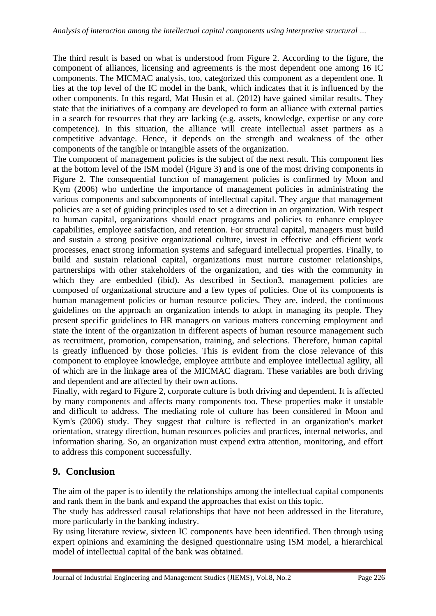The third result is based on what is understood from Figure 2. According to the figure, the component of alliances, licensing and agreements is the most dependent one among 16 IC components. The MICMAC analysis, too, categorized this component as a dependent one. It lies at the top level of the IC model in the bank, which indicates that it is influenced by the other components. In this regard, Mat Husin et al. (2012) have gained similar results. They state that the initiatives of a company are developed to form an alliance with external parties in a search for resources that they are lacking (e.g. assets, knowledge, expertise or any core competence). In this situation, the alliance will create intellectual asset partners as a competitive advantage. Hence, it depends on the strength and weakness of the other components of the tangible or intangible assets of the organization.

The component of management policies is the subject of the next result. This component lies at the bottom level of the ISM model (Figure 3) and is one of the most driving components in Figure 2. The consequential function of management policies is confirmed by Moon and Kym (2006) who underline the importance of management policies in administrating the various components and subcomponents of intellectual capital. They argue that management policies are a set of guiding principles used to set a direction in an organization. With respect to human capital, organizations should enact programs and policies to enhance employee capabilities, employee satisfaction, and retention. For structural capital, managers must build and sustain a strong positive organizational culture, invest in effective and efficient work processes, enact strong information systems and safeguard intellectual properties. Finally, to build and sustain relational capital, organizations must nurture customer relationships, partnerships with other stakeholders of the organization, and ties with the community in which they are embedded (ibid). As described in Section3, management policies are composed of organizational structure and a few types of policies. One of its components is [human management policies or human resource](https://en.wikipedia.org/wiki/Human_resource_management) policies. They are, indeed, the continuous guidelines on the approach an organization intends to adopt in managing its people. They present specific guidelines to HR managers on various matters concerning employment and state the intent of the organization in different aspects of human resource management such as [recruitment,](https://en.wikipedia.org/wiki/Recruitment) [promotion,](https://en.wikipedia.org/wiki/Promotion_(rank)) [compensation,](https://en.wikipedia.org/wiki/Financial_compensation) [training,](https://en.wikipedia.org/wiki/Training) and selections. Therefore, human capital is greatly influenced by those policies. This is evident from the close relevance of this component to employee knowledge, employee attribute and employee intellectual agility, all of which are in the linkage area of the MICMAC diagram. These variables are both driving and dependent and are affected by their own actions.

Finally, with regard to Figure 2, corporate culture is both driving and dependent. It is affected by many components and affects many components too. These properties make it unstable and difficult to address. The mediating role of culture has been considered in Moon and Kym's (2006) study. They suggest that culture is reflected in an organization's market orientation, strategy direction, human resources policies and practices, internal networks, and information sharing. So, an organization must expend extra attention, monitoring, and effort to address this component successfully.

### **9. Conclusion**

The aim of the paper is to identify the relationships among the intellectual capital components and rank them in the bank and expand the approaches that exist on this topic.

The study has addressed causal relationships that have not been addressed in the literature, more particularly in the banking industry.

By using literature review, sixteen IC components have been identified. Then through using expert opinions and examining the designed questionnaire using ISM model, a hierarchical model of intellectual capital of the bank was obtained.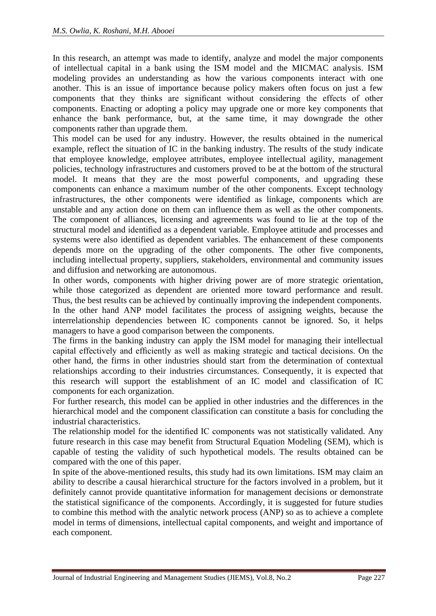In this research, an attempt was made to identify, analyze and model the major components of intellectual capital in a bank using the ISM model and the MICMAC analysis. ISM modeling provides an understanding as how the various components interact with one another. This is an issue of importance because policy makers often focus on just a few components that they thinks are significant without considering the effects of other components. Enacting or adopting a policy may upgrade one or more key components that enhance the bank performance, but, at the same time, it may downgrade the other components rather than upgrade them.

This model can be used for any industry. However, the results obtained in the numerical example, reflect the situation of IC in the banking industry. The results of the study indicate that employee knowledge, employee attributes, employee intellectual agility, management policies, technology infrastructures and customers proved to be at the bottom of the structural model. It means that they are the most powerful components, and upgrading these components can enhance a maximum number of the other components. Except technology infrastructures, the other components were identified as linkage, components which are unstable and any action done on them can influence them as well as the other components. The component of alliances, licensing and agreements was found to lie at the top of the structural model and identified as a dependent variable. Employee attitude and processes and systems were also identified as dependent variables. The enhancement of these components depends more on the upgrading of the other components. The other five components, including intellectual property, suppliers, stakeholders, environmental and community issues and diffusion and networking are autonomous.

In other words, components with higher driving power are of more strategic orientation, while those categorized as dependent are oriented more toward performance and result. Thus, the best results can be achieved by continually improving the independent components.

In the other hand ANP model facilitates the process of assigning weights, because the interrelationship dependencies between IC components cannot be ignored. So, it helps managers to have a good comparison between the components.

The firms in the banking industry can apply the ISM model for managing their intellectual capital effectively and efficiently as well as making strategic and tactical decisions. On the other hand, the firms in other industries should start from the determination of contextual relationships according to their industries circumstances. Consequently, it is expected that this research will support the establishment of an IC model and classification of IC components for each organization.

For further research, this model can be applied in other industries and the differences in the hierarchical model and the component classification can constitute a basis for concluding the industrial characteristics.

The relationship model for the identified IC components was not statistically validated. Any future research in this case may benefit from Structural Equation Modeling (SEM), which is capable of testing the validity of such hypothetical models. The results obtained can be compared with the one of this paper.

In spite of the above-mentioned results, this study had its own limitations. ISM may claim an ability to describe a causal hierarchical structure for the factors involved in a problem, but it definitely cannot provide quantitative information for management decisions or demonstrate the statistical significance of the components. Accordingly, it is suggested for future studies to combine this method with the analytic network process (ANP) so as to achieve a complete model in terms of dimensions, intellectual capital components, and weight and importance of each component.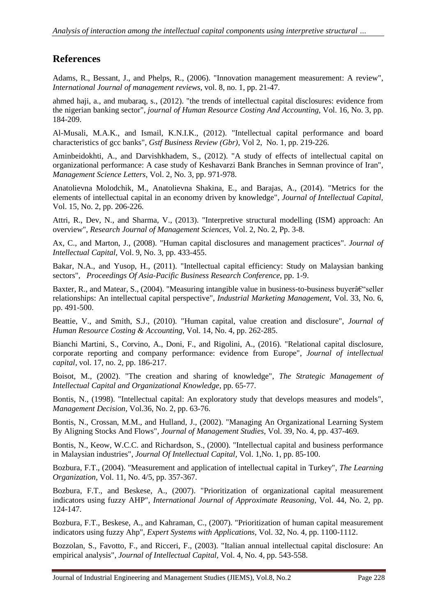## **References**

Adams, R., Bessant, J., and Phelps, R., (2006). "Innovation management measurement: A review", *International Journal of management reviews,* vol. 8, no. 1, pp. 21-47.

ahmed haji, a., and mubaraq, s., (2012). "the trends of intellectual capital disclosures: evidence from the nigerian banking sector", *journal of Human Resource Costing And Accounting,* Vol. 16, No. 3, pp. 184-209.

Al-Musali, M.A.K., and Ismail, K.N.I.K., (2012). "Intellectual capital performance and board characteristics of gcc banks", *Gstf Business Review (Gbr),* Vol 2, No. 1, pp. 219-226.

Aminbeidokhti, A., and Darvishkhadem, S., (2012). "A study of effects of intellectual capital on organizational performance: A case study of Keshavarzi Bank Branches in Semnan province of Iran", *Management Science Letters,* Vol. 2, No. 3, pp. 971-978.

Anatolievna Molodchik, M., Anatolievna Shakina, E., and Barajas, A., (2014). "Metrics for the elements of intellectual capital in an economy driven by knowledge", *Journal of Intellectual Capital,* Vol. 15, No. 2, pp. 206-226.

Attri, R., Dev, N., and Sharma, V., (2013). "Interpretive structural modelling (ISM) approach: An overview", *Research Journal of Management Sciences,* Vol. 2, No. 2, Pp. 3-8.

Ax, C., and Marton, J., (2008). "Human capital disclosures and management practices". *Journal of Intellectual Capital,* Vol. 9, No. 3, pp. 433-455.

Bakar, N.A., and Yusop, H., (2011). "Intellectual capital efficiency: Study on Malaysian banking sectors", *Proceedings Of Asia-Pacific Business Research Conference*, pp. 1-9.

Baxter, R., and Matear, S., (2004). "Measuring intangible value in business-to-business buyer $\hat{a}\epsilon$ "seller relationships: An intellectual capital perspective", *Industrial Marketing Management,* Vol. 33, No. 6, pp. 491-500.

Beattie, V., and Smith, S.J., (2010). "Human capital, value creation and disclosure", *Journal of Human Resource Costing & Accounting,* Vol. 14, No. 4, pp. 262-285.

Bianchi Martini, S., Corvino, A., Doni, F., and Rigolini, A., (2016). "Relational capital disclosure, corporate reporting and company performance: evidence from Europe", *Journal of intellectual capital,* vol. 17, no. 2, pp. 186-217.

Boisot, M., (2002). "The creation and sharing of knowledge", *The Strategic Management of Intellectual Capital and Organizational Knowledge*, pp. 65-77.

Bontis, N., (1998). "Intellectual capital: An exploratory study that develops measures and models", *Management Decision,* Vol.36, No. 2, pp. 63-76.

Bontis, N., Crossan, M.M., and Hulland, J., (2002). "Managing An Organizational Learning System By Aligning Stocks And Flows", *Journal of Management Studies,* Vol. 39, No. 4, pp. 437-469.

Bontis, N., Keow, W.C.C. and Richardson, S., (2000). "Intellectual capital and business performance in Malaysian industries", *Journal Of Intellectual Capital,* Vol. 1,No. 1, pp. 85-100.

Bozbura, F.T., (2004). "Measurement and application of intellectual capital in Turkey", *The Learning Organization,* Vol. 11, No. 4/5, pp. 357-367.

Bozbura, F.T., and Beskese, A., (2007). "Prioritization of organizational capital measurement indicators using fuzzy AHP", *International Journal of Approximate Reasoning,* Vol. 44, No. 2, pp. 124-147.

Bozbura, F.T., Beskese, A., and Kahraman, C., (2007). "Prioritization of human capital measurement indicators using fuzzy Ahp", *Expert Systems with Applications,* Vol. 32, No. 4, pp. 1100-1112.

Bozzolan, S., Favotto, F., and Ricceri, F., (2003). "Italian annual intellectual capital disclosure: An empirical analysis", *Journal of Intellectual Capital,* Vol. 4, No. 4, pp. 543-558.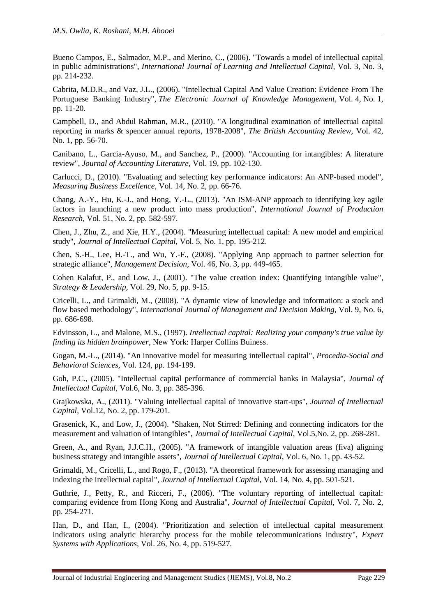Bueno Campos, E., Salmador, M.P., and Merino, C., (2006). "Towards a model of intellectual capital in public administrations", *International Journal of Learning and Intellectual Capital,* Vol. 3, No. 3, pp. 214-232.

Cabrita, M.D.R., and Vaz, J.L., (2006). "Intellectual Capital And Value Creation: Evidence From The Portuguese Banking Industry", *The Electronic Journal of Knowledge Management,* Vol. 4, No. 1, pp. 11-20.

Campbell, D., and Abdul Rahman, M.R., (2010). "A longitudinal examination of intellectual capital reporting in marks & spencer annual reports, 1978-2008", *The British Accounting Review,* Vol. 42, No. 1, pp. 56-70.

Canibano, L., Garcia-Ayuso, M., and Sanchez, P., (2000). "Accounting for intangibles: A literature review", *Journal of Accounting Literature,* Vol. 19, pp. 102-130.

Carlucci, D., (2010). "Evaluating and selecting key performance indicators: An ANP-based model", *Measuring Business Excellence,* Vol. 14, No. 2, pp. 66-76.

Chang, A.-Y., Hu, K.-J., and Hong, Y.-L., (2013). "An ISM-ANP approach to identifying key agile factors in launching a new product into mass production", *International Journal of Production Research,* Vol. 51, No. 2, pp. 582-597.

Chen, J., Zhu, Z., and Xie, H.Y., (2004). "Measuring intellectual capital: A new model and empirical study", *Journal of Intellectual Capital,* Vol. 5, No. 1, pp. 195-212.

Chen, S.-H., Lee, H.-T., and Wu, Y.-F., (2008). "Applying Anp approach to partner selection for strategic alliance", *Management Decision,* Vol. 46, No. 3, pp. 449-465.

Cohen Kalafut, P., and Low, J., (2001). "The value creation index: Quantifying intangible value", *Strategy & Leadership,* Vol. 29, No. 5, pp. 9-15.

Cricelli, L., and Grimaldi, M., (2008). "A dynamic view of knowledge and information: a stock and flow based methodology", *International Journal of Management and Decision Making,* Vol. 9, No. 6, pp. 686-698.

Edvinsson, L., and Malone, M.S., (1997). *Intellectual capital: Realizing your company's true value by finding its hidden brainpower*, New York: Harper Collins Buiness.

Gogan, M.-L., (2014). "An innovative model for measuring intellectual capital", *Procedia-Social and Behavioral Sciences,* Vol. 124, pp. 194-199.

Goh, P.C., (2005). "Intellectual capital performance of commercial banks in Malaysia", *Journal of Intellectual Capital,* Vol.6, No. 3, pp. 385-396.

Grajkowska, A., (2011). "Valuing intellectual capital of innovative start-ups", *Journal of Intellectual Capital,* Vol.12, No. 2, pp. 179-201.

Grasenick, K., and Low, J., (2004). "Shaken, Not Stirred: Defining and connecting indicators for the measurement and valuation of intangibles", *Journal of Intellectual Capital,* Vol.5,No. 2, pp. 268-281.

Green, A., and Ryan, J.J.C.H., (2005). "A framework of intangible valuation areas (fiva) aligning business strategy and intangible assets", *Journal of Intellectual Capital,* Vol. 6, No. 1, pp. 43-52.

Grimaldi, M., Cricelli, L., and Rogo, F., (2013). "A theoretical framework for assessing managing and indexing the intellectual capital", *Journal of Intellectual Capital,* Vol. 14, No. 4, pp. 501-521.

Guthrie, J., Petty, R., and Ricceri, F., (2006). "The voluntary reporting of intellectual capital: comparing evidence from Hong Kong and Australia", *Journal of Intellectual Capital,* Vol. 7, No. 2, pp. 254-271.

Han, D., and Han, I., (2004). "Prioritization and selection of intellectual capital measurement indicators using analytic hierarchy process for the mobile telecommunications industry", *Expert Systems with Applications,* Vol. 26, No. 4, pp. 519-527.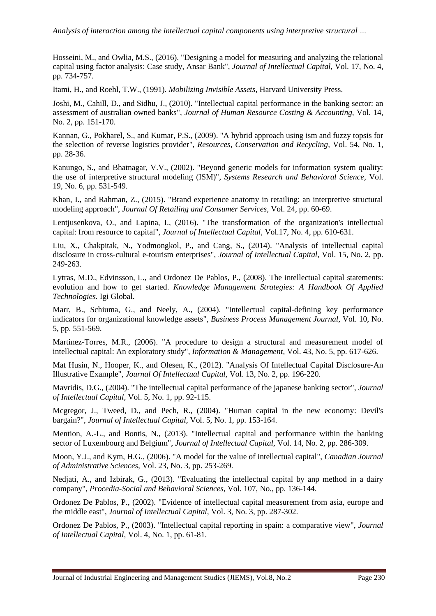Hosseini, M., and Owlia, M.S., (2016). "Designing a model for measuring and analyzing the relational capital using factor analysis: Case study, Ansar Bank", *Journal of Intellectual Capital,* Vol. 17, No. 4, pp. 734-757.

Itami, H., and Roehl, T.W., (1991). *Mobilizing Invisible Assets*, Harvard University Press.

Joshi, M., Cahill, D., and Sidhu, J., (2010). "Intellectual capital performance in the banking sector: an assessment of australian owned banks", *Journal of Human Resource Costing & Accounting,* Vol. 14, No. 2, pp. 151-170.

Kannan, G., Pokharel, S., and Kumar, P.S., (2009). "A hybrid approach using ism and fuzzy topsis for the selection of reverse logistics provider", *Resources, Conservation and Recycling,* Vol. 54, No. 1, pp. 28-36.

Kanungo, S., and Bhatnagar, V.V., (2002). "Beyond generic models for information system quality: the use of interpretive structural modeling (ISM)", *Systems Research and Behavioral Science,* Vol. 19, No. 6, pp. 531-549.

Khan, I., and Rahman, Z., (2015). "Brand experience anatomy in retailing: an interpretive structural modeling approach", *Journal Of Retailing and Consumer Services,* Vol. 24, pp. 60-69.

Lentjusenkova, O., and Lapina, I., (2016). "The transformation of the organization's intellectual capital: from resource to capital", *Journal of Intellectual Capital,* Vol.17, No. 4, pp. 610-631.

Liu, X., Chakpitak, N., Yodmongkol, P., and Cang, S., (2014). "Analysis of intellectual capital disclosure in cross-cultural e-tourism enterprises", *Journal of Intellectual Capital,* Vol. 15, No. 2, pp. 249-263.

Lytras, M.D., Edvinsson, L., and Ordonez De Pablos, P., (2008). The intellectual capital statements: evolution and how to get started. *Knowledge Management Strategies: A Handbook Of Applied Technologies.* Igi Global.

Marr, B., Schiuma, G., and Neely, A., (2004). "Intellectual capital-defining key performance indicators for organizational knowledge assets", *Business Process Management Journal,* Vol. 10, No. 5, pp. 551-569.

Martinez-Torres, M.R., (2006). "A procedure to design a structural and measurement model of intellectual capital: An exploratory study", *Information & Management,* Vol. 43, No. 5, pp. 617-626.

Mat Husin, N., Hooper, K., and Olesen, K., (2012). "Analysis Of Intellectual Capital Disclosure-An Illustrative Example", *Journal Of Intellectual Capital,* Vol. 13, No. 2, pp. 196-220.

Mavridis, D.G., (2004). "The intellectual capital performance of the japanese banking sector", *Journal of Intellectual Capital,* Vol. 5, No. 1, pp. 92-115.

Mcgregor, J., Tweed, D., and Pech, R., (2004). "Human capital in the new economy: Devil's bargain?", *Journal of Intellectual Capital,* Vol. 5, No. 1, pp. 153-164.

Mention, A.-L., and Bontis, N., (2013). "Intellectual capital and performance within the banking sector of Luxembourg and Belgium", *Journal of Intellectual Capital,* Vol. 14, No. 2, pp. 286-309.

Moon, Y.J., and Kym, H.G., (2006). "A model for the value of intellectual capital", *Canadian Journal of Administrative Sciences,* Vol. 23, No. 3, pp. 253-269.

Nedjati, A., and Izbirak, G., (2013). "Evaluating the intellectual capital by anp method in a dairy company", *Procedia-Social and Behavioral Sciences,* Vol. 107, No., pp. 136-144.

Ordonez De Pablos, P., (2002). "Evidence of intellectual capital measurement from asia, europe and the middle east", *Journal of Intellectual Capital,* Vol. 3, No. 3, pp. 287-302.

Ordonez De Pablos, P., (2003). "Intellectual capital reporting in spain: a comparative view", *Journal of Intellectual Capital,* Vol. 4, No. 1, pp. 61-81.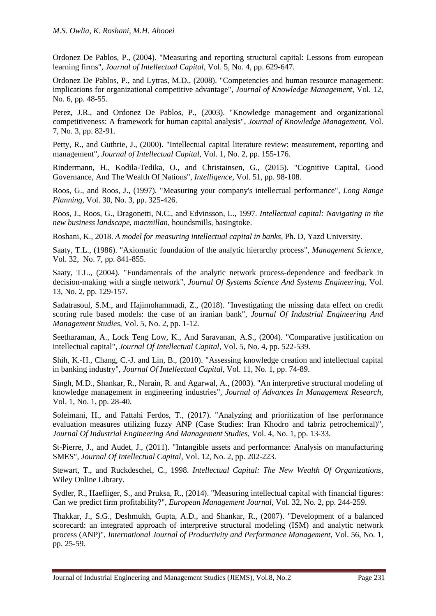Ordonez De Pablos, P., (2004). "Measuring and reporting structural capital: Lessons from european learning firms", *Journal of Intellectual Capital,* Vol. 5, No. 4, pp. 629-647.

Ordonez De Pablos, P., and Lytras, M.D., (2008). "Competencies and human resource management: implications for organizational competitive advantage", *Journal of Knowledge Management,* Vol. 12, No. 6, pp. 48-55.

Perez, J.R., and Ordonez De Pablos, P., (2003). "Knowledge management and organizational competitiveness: A framework for human capital analysis", *Journal of Knowledge Management,* Vol. 7, No. 3, pp. 82-91.

Petty, R., and Guthrie, J., (2000). "Intellectual capital literature review: measurement, reporting and management", *Journal of Intellectual Capital,* Vol. 1, No. 2, pp. 155-176.

Rindermann, H., Kodila-Tedika, O., and Christainsen, G., (2015). "Cognitive Capital, Good Governance, And The Wealth Of Nations", *Intelligence,* Vol. 51, pp. 98-108.

Roos, G., and Roos, J., (1997). "Measuring your company's intellectual performance", *Long Range Planning,* Vol. 30, No. 3, pp. 325-426.

Roos, J., Roos, G., Dragonetti, N.C., and Edvinsson, L., 1997. *Intellectual capital: Navigating in the new business landscape, macmillan*, houndsmills, basingtoke.

Roshani, K., 2018. *A model for measuring intellectual capital in banks,* Ph. D, Yazd University.

Saaty, T.L., (1986). "Axiomatic foundation of the analytic hierarchy process", *Management Science,* Vol. 32, No. 7, pp. 841-855.

Saaty, T.L., (2004). "Fundamentals of the analytic network process-dependence and feedback in decision-making with a single network", *Journal Of Systems Science And Systems Engineering,* Vol. 13, No. 2, pp. 129-157.

Sadatrasoul, S.M., and Hajimohammadi, Z., (2018). "Investigating the missing data effect on credit scoring rule based models: the case of an iranian bank", *Journal Of Industrial Engineering And Management Studies,* Vol. 5, No. 2, pp. 1-12.

Seetharaman, A., Lock Teng Low, K., And Saravanan, A.S., (2004). "Comparative justification on intellectual capital", *Journal Of Intellectual Capital,* Vol. 5, No. 4, pp. 522-539.

Shih, K.-H., Chang, C.-J. and Lin, B., (2010). "Assessing knowledge creation and intellectual capital in banking industry", *Journal Of Intellectual Capital,* Vol. 11, No. 1, pp. 74-89.

Singh, M.D., Shankar, R., Narain, R. and Agarwal, A., (2003). "An interpretive structural modeling of knowledge management in engineering industries", *Journal of Advances In Management Research,* Vol. 1, No. 1, pp. 28-40.

Soleimani, H., and Fattahi Ferdos, T., (2017). "Analyzing and prioritization of hse performance evaluation measures utilizing fuzzy ANP (Case Studies: Iran Khodro and tabriz petrochemical)", *Journal Of Industrial Engineering And Management Studies,* Vol. 4, No. 1, pp. 13-33.

St-Pierre, J., and Audet, J., (2011). "Intangible assets and performance: Analysis on manufacturing SMES", *Journal Of Intellectual Capital,* Vol. 12, No. 2, pp. 202-223.

Stewart, T., and Ruckdeschel, C., 1998. *Intellectual Capital: The New Wealth Of Organizations*, Wiley Online Library.

Sydler, R., Haefliger, S., and Pruksa, R., (2014). "Measuring intellectual capital with financial figures: Can we predict firm profitability?", *European Management Journal,* Vol. 32, No. 2, pp. 244-259.

Thakkar, J., S.G., Deshmukh, Gupta, A.D., and Shankar, R., (2007). "Development of a balanced scorecard: an integrated approach of interpretive structural modeling (ISM) and analytic network process (ANP)", *International Journal of Productivity and Performance Management,* Vol. 56, No. 1, pp. 25-59.